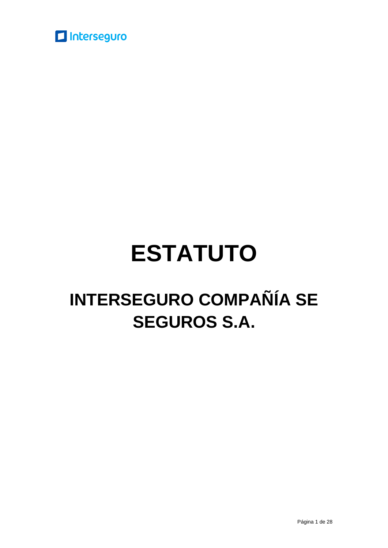

# **ESTATUTO**

## **INTERSEGURO COMPAÑÍA SE SEGUROS S.A.**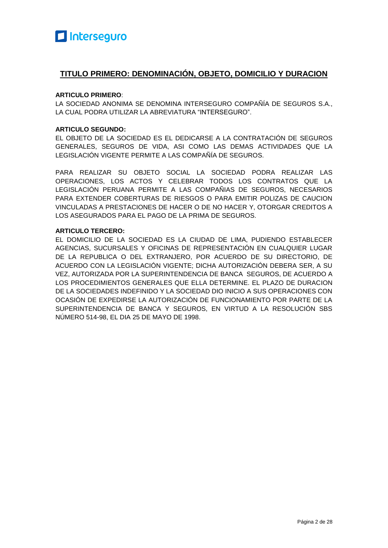#### **TITULO PRIMERO: DENOMINACIÓN, OBJETO, DOMICILIO Y DURACION**

#### **ARTICULO PRIMERO**:

LA SOCIEDAD ANONIMA SE DENOMINA INTERSEGURO COMPAÑÍA DE SEGUROS S.A., LA CUAL PODRA UTILIZAR LA ABREVIATURA "INTERSEGURO".

#### **ARTICULO SEGUNDO:**

EL OBJETO DE LA SOCIEDAD ES EL DEDICARSE A LA CONTRATACIÓN DE SEGUROS GENERALES, SEGUROS DE VIDA, ASI COMO LAS DEMAS ACTIVIDADES QUE LA LEGISLACIÓN VIGENTE PERMITE A LAS COMPAÑÍA DE SEGUROS.

PARA REALIZAR SU OBJETO SOCIAL LA SOCIEDAD PODRA REALIZAR LAS OPERACIONES, LOS ACTOS Y CELEBRAR TODOS LOS CONTRATOS QUE LA LEGISLACIÓN PERUANA PERMITE A LAS COMPAÑIAS DE SEGUROS, NECESARIOS PARA EXTENDER COBERTURAS DE RIESGOS O PARA EMITIR POLIZAS DE CAUCION VINCULADAS A PRESTACIONES DE HACER O DE NO HACER Y, OTORGAR CREDITOS A LOS ASEGURADOS PARA EL PAGO DE LA PRIMA DE SEGUROS.

#### **ARTICULO TERCERO:**

EL DOMICILIO DE LA SOCIEDAD ES LA CIUDAD DE LIMA, PUDIENDO ESTABLECER AGENCIAS, SUCURSALES Y OFICINAS DE REPRESENTACIÓN EN CUALQUIER LUGAR DE LA REPUBLICA O DEL EXTRANJERO, POR ACUERDO DE SU DIRECTORIO, DE ACUERDO CON LA LEGISLACIÓN VIGENTE; DICHA AUTORIZACIÓN DEBERA SER, A SU VEZ, AUTORIZADA POR LA SUPERINTENDENCIA DE BANCA SEGUROS, DE ACUERDO A LOS PROCEDIMIENTOS GENERALES QUE ELLA DETERMINE. EL PLAZO DE DURACION DE LA SOCIEDADES INDEFINIDO Y LA SOCIEDAD DIO INICIO A SUS OPERACIONES CON OCASIÓN DE EXPEDIRSE LA AUTORIZACIÓN DE FUNCIONAMIENTO POR PARTE DE LA SUPERINTENDENCIA DE BANCA Y SEGUROS, EN VIRTUD A LA RESOLUCIÓN SBS NÚMERO 514-98, EL DIA 25 DE MAYO DE 1998.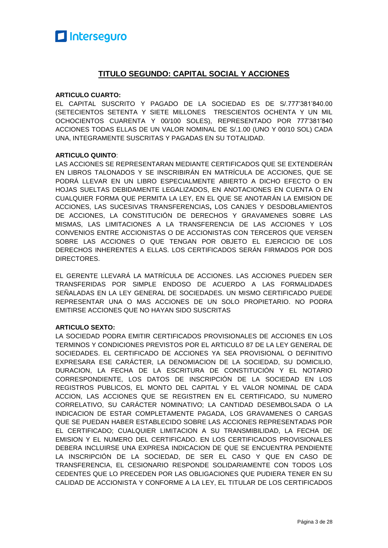

#### **TITULO SEGUNDO: CAPITAL SOCIAL Y ACCIONES**

#### **ARTICULO CUARTO:**

EL CAPITAL SUSCRITO Y PAGADO DE LA SOCIEDAD ES DE S/.777'381'840.00 (SETECIENTOS SETENTA Y SIETE MILLONES TRESCIENTOS OCHENTA Y UN MIL OCHOCIENTOS CUARENTA Y 00/100 SOLES), REPRESENTADO POR 777'381'840 ACCIONES TODAS ELLAS DE UN VALOR NOMINAL DE S/.1.00 (UNO Y 00/10 SOL) CADA UNA, INTEGRAMENTE SUSCRITAS Y PAGADAS EN SU TOTALIDAD.

#### **ARTICULO QUINTO**:

LAS ACCIONES SE REPRESENTARAN MEDIANTE CERTIFICADOS QUE SE EXTENDERÁN EN LIBROS TALONADOS Y SE INSCRIBIRÁN EN MATRÍCULA DE ACCIONES, QUE SE PODRÁ LLEVAR EN UN LIBRO ESPECIALMENTE ABIERTO A DICHO EFECTO O EN HOJAS SUELTAS DEBIDAMENTE LEGALIZADOS, EN ANOTACIONES EN CUENTA O EN CUALQUIER FORMA QUE PERMITA LA LEY, EN EL QUE SE ANOTARÁN LA EMISION DE ACCIONES, LAS SUCESIVAS TRANSFERENCIAS**,** LOS CANJES Y DESDOBLAMIENTOS DE ACCIONES, LA CONSTITUCIÓN DE DERECHOS Y GRAVAMENES SOBRE LAS MISMAS, LAS LIMITACIONES A LA TRANSFERENCIA DE LAS ACCIONES Y LOS CONVENIOS ENTRE ACCIONISTAS O DE ACCIONISTAS CON TERCEROS QUE VERSEN SOBRE LAS ACCIONES O QUE TENGAN POR OBJETO EL EJERCICIO DE LOS DERECHOS INHERENTES A ELLAS. LOS CERTIFICADOS SERÁN FIRMADOS POR DOS DIRECTORES.

EL GERENTE LLEVARÁ LA MATRÍCULA DE ACCIONES. LAS ACCIONES PUEDEN SER TRANSFERIDAS POR SIMPLE ENDOSO DE ACUERDO A LAS FORMALIDADES SEÑALADAS EN LA LEY GENERAL DE SOCIEDADES. UN MISMO CERTIFICADO PUEDE REPRESENTAR UNA O MAS ACCIONES DE UN SOLO PROPIETARIO. NO PODRA EMITIRSE ACCIONES QUE NO HAYAN SIDO SUSCRITAS

#### **ARTICULO SEXTO:**

LA SOCIEDAD PODRA EMITIR CERTIFICADOS PROVISIONALES DE ACCIONES EN LOS TERMINOS Y CONDICIONES PREVISTOS POR EL ARTICULO 87 DE LA LEY GENERAL DE SOCIEDADES. EL CERTIFICADO DE ACCIONES YA SEA PROVISIONAL O DEFINITIVO EXPRESARA ESE CARÁCTER, LA DENOMIACION DE LA SOCIEDAD, SU DOMICILIO, DURACION, LA FECHA DE LA ESCRITURA DE CONSTITUCIÓN Y EL NOTARIO CORRESPONDIENTE, LOS DATOS DE INSCRIPCIÓN DE LA SOCIEDAD EN LOS REGISTROS PUBLICOS, EL MONTO DEL CAPITAL Y EL VALOR NOMINAL DE CADA ACCION, LAS ACCIONES QUE SE REGISTREN EN EL CERTIFICADO, SU NUMERO CORRELATIVO, SU CARÁCTER NOMINATIVO; LA CANTIDAD DESEMBOLSADA O LA INDICACION DE ESTAR COMPLETAMENTE PAGADA, LOS GRAVAMENES O CARGAS QUE SE PUEDAN HABER ESTABLECIDO SOBRE LAS ACCIONES REPRESENTADAS POR EL CERTIFICADO; CUALQUIER LIMITACION A SU TRANSMIBILIDAD, LA FECHA DE EMISION Y EL NUMERO DEL CERTIFICADO. EN LOS CERTIFICADOS PROVISIONALES DEBERA INCLUIRSE UNA EXPRESA INDICACION DE QUE SE ENCUENTRA PENDIENTE LA INSCRIPCIÓN DE LA SOCIEDAD, DE SER EL CASO Y QUE EN CASO DE TRANSFERENCIA, EL CESIONARIO RESPONDE SOLIDARIAMENTE CON TODOS LOS CEDENTES QUE LO PRECEDEN POR LAS OBLIGACIONES QUE PUDIERA TENER EN SU CALIDAD DE ACCIONISTA Y CONFORME A LA LEY, EL TITULAR DE LOS CERTIFICADOS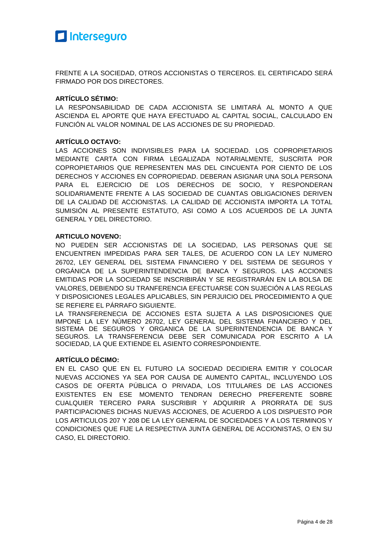

FRENTE A LA SOCIEDAD, OTROS ACCIONISTAS O TERCEROS. EL CERTIFICADO SERÁ FIRMADO POR DOS DIRECTORES.

#### **ARTÍCULO SÉTIMO:**

LA RESPONSABILIDAD DE CADA ACCIONISTA SE LIMITARÁ AL MONTO A QUE ASCIENDA EL APORTE QUE HAYA EFECTUADO AL CAPITAL SOCIAL, CALCULADO EN FUNCIÓN AL VALOR NOMINAL DE LAS ACCIONES DE SU PROPIEDAD.

#### **ARTÍCULO OCTAVO:**

LAS ACCIONES SON INDIVISIBLES PARA LA SOCIEDAD. LOS COPROPIETARIOS MEDIANTE CARTA CON FIRMA LEGALIZADA NOTARIALMENTE, SUSCRITA POR COPROPIETARIOS QUE REPRESENTEN MAS DEL CINCUENTA POR CIENTO DE LOS DERECHOS Y ACCIONES EN COPROPIEDAD. DEBERAN ASIGNAR UNA SOLA PERSONA PARA EL EJERCICIO DE LOS DERECHOS DE SOCIO, Y RESPONDERAN SOLIDARIAMENTE FRENTE A LAS SOCIEDAD DE CUANTAS OBLIGACIONES DERIVEN DE LA CALIDAD DE ACCIONISTAS. LA CALIDAD DE ACCIONISTA IMPORTA LA TOTAL SUMISIÓN AL PRESENTE ESTATUTO, ASI COMO A LOS ACUERDOS DE LA JUNTA GENERAL Y DEL DIRECTORIO.

#### **ARTICULO NOVENO:**

NO PUEDEN SER ACCIONISTAS DE LA SOCIEDAD, LAS PERSONAS QUE SE ENCUENTREN IMPEDIDAS PARA SER TALES, DE ACUERDO CON LA LEY NUMERO 26702, LEY GENERAL DEL SISTEMA FINANCIERO Y DEL SISTEMA DE SEGUROS Y ORGÁNICA DE LA SUPERINTENDENCIA DE BANCA Y SEGUROS. LAS ACCIONES EMITIDAS POR LA SOCIEDAD SE INSCRIBIRÁN Y SE REGISTRARÁN EN LA BOLSA DE VALORES, DEBIENDO SU TRANFERENCIA EFECTUARSE CON SUJECIÓN A LAS REGLAS Y DISPOSICIONES LEGALES APLICABLES, SIN PERJUICIO DEL PROCEDIMIENTO A QUE SE REFIERE EL PÁRRAFO SIGUIENTE.

LA TRANSFERENECIA DE ACCIONES ESTA SUJETA A LAS DISPOSICIONES QUE IMPONE LA LEY NÚMERO 26702, LEY GENERAL DEL SISTEMA FINANCIERO Y DEL SISTEMA DE SEGUROS Y ORGANICA DE LA SUPERINTENDENCIA DE BANCA Y SEGUROS. LA TRANSFERENCIA DEBE SER COMUNICADA POR ESCRITO A LA SOCIEDAD, LA QUE EXTIENDE EL ASIENTO CORRESPONDIENTE.

#### **ARTÍCULO DÉCIMO:**

EN EL CASO QUE EN EL FUTURO LA SOCIEDAD DECIDIERA EMITIR Y COLOCAR NUEVAS ACCIONES YA SEA POR CAUSA DE AUMENTO CAPITAL, INCLUYENDO LOS CASOS DE OFERTA PÚBLICA O PRIVADA, LOS TITULARES DE LAS ACCIONES EXISTENTES EN ESE MOMENTO TENDRAN DERECHO PREFERENTE SOBRE CUALQUIER TERCERO PARA SUSCRIBIR Y ADQUIRIR A PRORRATA DE SUS PARTICIPACIONES DICHAS NUEVAS ACCIONES, DE ACUERDO A LOS DISPUESTO POR LOS ARTICULOS 207 Y 208 DE LA LEY GENERAL DE SOCIEDADES Y A LOS TERMINOS Y CONDICIONES QUE FIJE LA RESPECTIVA JUNTA GENERAL DE ACCIONISTAS, O EN SU CASO, EL DIRECTORIO.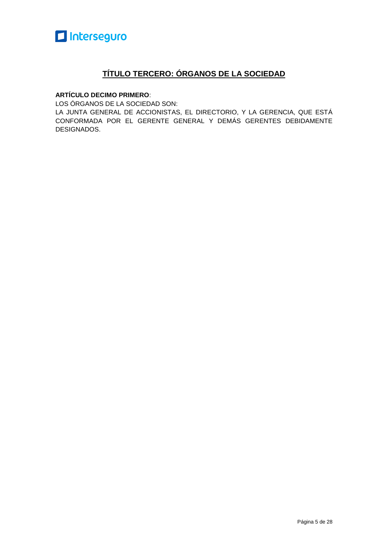

#### **TÍTULO TERCERO: ÓRGANOS DE LA SOCIEDAD**

#### **ARTÍCULO DECIMO PRIMERO**:

LOS ÓRGANOS DE LA SOCIEDAD SON:

LA JUNTA GENERAL DE ACCIONISTAS, EL DIRECTORIO, Y LA GERENCIA, QUE ESTÁ CONFORMADA POR EL GERENTE GENERAL Y DEMÁS GERENTES DEBIDAMENTE DESIGNADOS.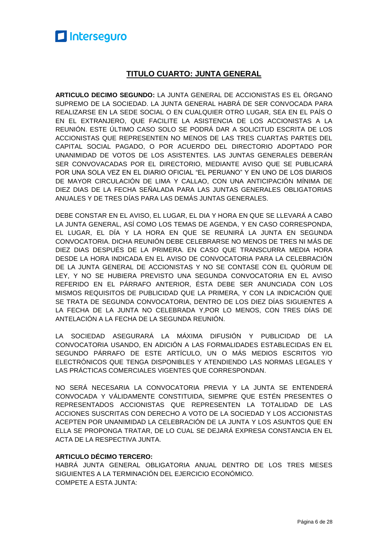#### **TITULO CUARTO: JUNTA GENERAL**

**ARTICULO DECIMO SEGUNDO:** LA JUNTA GENERAL DE ACCIONISTAS ES EL ÓRGANO SUPREMO DE LA SOCIEDAD. LA JUNTA GENERAL HABRÁ DE SER CONVOCADA PARA REALIZARSE EN LA SEDE SOCIAL O EN CUALQUIER OTRO LUGAR, SEA EN EL PAÍS O EN EL EXTRANJERO, QUE FACILITE LA ASISTENCIA DE LOS ACCIONISTAS A LA REUNIÓN. ESTE ÚLTIMO CASO SOLO SE PODRÁ DAR A SOLICITUD ESCRITA DE LOS ACCIONISTAS QUE REPRESENTEN NO MENOS DE LAS TRES CUARTAS PARTES DEL CAPITAL SOCIAL PAGADO, O POR ACUERDO DEL DIRECTORIO ADOPTADO POR UNANIMIDAD DE VOTOS DE LOS ASISTENTES. LAS JUNTAS GENERALES DEBERÁN SER CONVOVACADAS POR EL DIRECTORIO, MEDIANTE AVISO QUE SE PUBLICARÁ POR UNA SOLA VEZ EN EL DIARIO OFICIAL "EL PERUANO" Y EN UNO DE LOS DIARIOS DE MAYOR CIRCULACIÓN DE LIMA Y CALLAO, CON UNA ANTICIPACIÓN MÍNIMA DE DIEZ DIAS DE LA FECHA SEÑALADA PARA LAS JUNTAS GENERALES OBLIGATORIAS ANUALES Y DE TRES DÍAS PARA LAS DEMÁS JUNTAS GENERALES.

DEBE CONSTAR EN EL AVISO, EL LUGAR, EL DIA Y HORA EN QUE SE LLEVARÁ A CABO LA JUNTA GENERAL, ASÍ COMO LOS TEMAS DE AGENDA, Y EN CASO CORRESPONDA, EL LUGAR, EL DÍA Y LA HORA EN QUE SE REUNIRÁ LA JUNTA EN SEGUNDA CONVOCATORIA. DICHA REUNIÓN DEBE CELEBRARSE NO MENOS DE TRES NI MÁS DE DIEZ DIAS DESPUÉS DE LA PRIMERA. EN CASO QUE TRANSCURRA MEDIA HORA DESDE LA HORA INDICADA EN EL AVISO DE CONVOCATORIA PARA LA CELEBRACIÓN DE LA JUNTA GENERAL DE ACCIONISTAS Y NO SE CONTASE CON EL QUÓRUM DE LEY, Y NO SE HUBIERA PREVISTO UNA SEGUNDA CONVOCATORIA EN EL AVISO REFERIDO EN EL PÁRRAFO ANTERIOR, ÉSTA DEBE SER ANUNCIADA CON LOS MISMOS REQUISITOS DE PUBLICIDAD QUE LA PRIMERA, Y CON LA INDICACIÓN QUE SE TRATA DE SEGUNDA CONVOCATORIA, DENTRO DE LOS DIEZ DÍAS SIGUIENTES A LA FECHA DE LA JUNTA NO CELEBRADA Y,POR LO MENOS, CON TRES DÍAS DE ANTELACIÓN A LA FECHA DE LA SEGUNDA REUNIÓN.

LA SOCIEDAD ASEGURARÁ LA MÁXIMA DIFUSIÓN Y PUBLICIDAD DE LA CONVOCATORIA USANDO, EN ADICIÓN A LAS FORMALIDADES ESTABLECIDAS EN EL SEGUNDO PÁRRAFO DE ESTE ARTÍCULO, UN O MÁS MEDIOS ESCRITOS Y/O ELECTRÓNICOS QUE TENGA DISPONIBLES Y ATENDIENDO LAS NORMAS LEGALES Y LAS PRÁCTICAS COMERCIALES VIGENTES QUE CORRESPONDAN.

NO SERÁ NECESARIA LA CONVOCATORIA PREVIA Y LA JUNTA SE ENTENDERÁ CONVOCADA Y VÁLIDAMENTE CONSTITUIDA, SIEMPRE QUE ESTÉN PRESENTES O REPRESENTADOS ACCIONISTAS QUE REPRESENTEN LA TOTALIDAD DE LAS ACCIONES SUSCRITAS CON DERECHO A VOTO DE LA SOCIEDAD Y LOS ACCIONISTAS ACEPTEN POR UNANIMIDAD LA CELEBRACIÓN DE LA JUNTA Y LOS ASUNTOS QUE EN ELLA SE PROPONGA TRATAR, DE LO CUAL SE DEJARÁ EXPRESA CONSTANCIA EN EL ACTA DE LA RESPECTIVA JUNTA.

#### **ARTICULO DÉCIMO TERCERO:**

HABRÁ JUNTA GENERAL OBLIGATORIA ANUAL DENTRO DE LOS TRES MESES SIGUIENTES A LA TERMINACIÓN DEL EJERCICIO ECONÓMICO. COMPETE A ESTA JUNTA: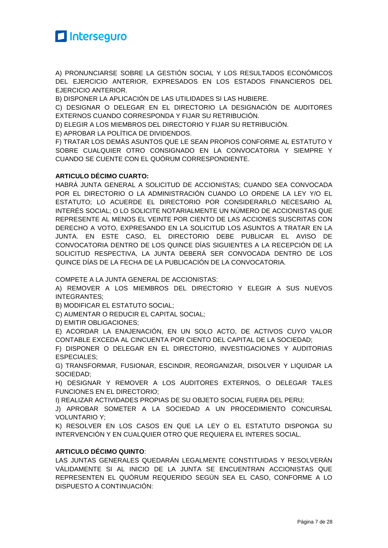

A) PRONUNCIARSE SOBRE LA GESTIÓN SOCIAL Y LOS RESULTADOS ECONÓMICOS DEL EJERCICIO ANTERIOR, EXPRESADOS EN LOS ESTADOS FINANCIEROS DEL EJERCICIO ANTERIOR.

B) DISPONER LA APLICACIÓN DE LAS UTILIDADES SI LAS HUBIERE.

C) DESIGNAR O DELEGAR EN EL DIRECTORIO LA DESIGNACIÓN DE AUDITORES EXTERNOS CUANDO CORRESPONDA Y FIJAR SU RETRIBUCIÓN.

D) ELEGIR A LOS MIEMBROS DEL DIRECTORIO Y FIJAR SU RETRIBUCIÓN.

E) APROBAR LA POLÍTICA DE DIVIDENDOS.

F) TRATAR LOS DEMÁS ASUNTOS QUE LE SEAN PROPIOS CONFORME AL ESTATUTO Y SOBRE CUALQUIER OTRO CONSIGNADO EN LA CONVOCATORIA Y SIEMPRE Y CUANDO SE CUENTE CON EL QUÓRUM CORRESPONDIENTE.

#### **ARTICULO DÉCIMO CUARTO:**

HABRÁ JUNTA GENERAL A SOLICITUD DE ACCIONISTAS; CUANDO SEA CONVOCADA POR EL DIRECTORIO O LA ADMINISTRACIÓN CUANDO LO ORDENE LA LEY Y/O EL ESTATUTO; LO ACUERDE EL DIRECTORIO POR CONSIDERARLO NECESARIO AL INTERÉS SOCIAL; O LO SOLICITE NOTARIALMENTE UN NÚMERO DE ACCIONISTAS QUE REPRESENTE AL MENOS EL VEINTE POR CIENTO DE LAS ACCIONES SUSCRITAS CON DERECHO A VOTO, EXPRESANDO EN LA SOLICITUD LOS ASUNTOS A TRATAR EN LA JUNTA. EN ESTE CASO, EL DIRECTORIO DEBE PUBLICAR EL AVISO DE CONVOCATORIA DENTRO DE LOS QUINCE DÍAS SIGUIENTES A LA RECEPCIÓN DE LA SOLICITUD RESPECTIVA, LA JUNTA DEBERÁ SER CONVOCADA DENTRO DE LOS QUINCE DÍAS DE LA FECHA DE LA PUBLICACIÓN DE LA CONVOCATORIA.

COMPETE A LA JUNTA GENERAL DE ACCIONISTAS:

A) REMOVER A LOS MIEMBROS DEL DIRECTORIO Y ELEGIR A SUS NUEVOS INTEGRANTES;

B) MODIFICAR EL ESTATUTO SOCIAL;

C) AUMENTAR O REDUCIR EL CAPITAL SOCIAL;

D) EMITIR OBLIGACIONES;

E) ACORDAR LA ENAJENACIÓN, EN UN SOLO ACTO, DE ACTIVOS CUYO VALOR CONTABLE EXCEDA AL CINCUENTA POR CIENTO DEL CAPITAL DE LA SOCIEDAD;

F) DISPONER O DELEGAR EN EL DIRECTORIO, INVESTIGACIONES Y AUDITORIAS ESPECIALES;

G) TRANSFORMAR, FUSIONAR, ESCINDIR, REORGANIZAR, DISOLVER Y LIQUIDAR LA SOCIEDAD;

H) DESIGNAR Y REMOVER A LOS AUDITORES EXTERNOS, O DELEGAR TALES FUNCIONES EN EL DIRECTORIO;

I) REALIZAR ACTIVIDADES PROPIAS DE SU OBJETO SOCIAL FUERA DEL PERU;

J) APROBAR SOMETER A LA SOCIEDAD A UN PROCEDIMIENTO CONCURSAL VOLUNTARIO Y;

K) RESOLVER EN LOS CASOS EN QUE LA LEY O EL ESTATUTO DISPONGA SU INTERVENCIÓN Y EN CUALQUIER OTRO QUE REQUIERA EL INTERES SOCIAL.

#### **ARTICULO DÉCIMO QUINTO**:

LAS JUNTAS GENERALES QUEDARÁN LEGALMENTE CONSTITUIDAS Y RESOLVERÁN VÁLIDAMENTE SI AL INICIO DE LA JUNTA SE ENCUENTRAN ACCIONISTAS QUE REPRESENTEN EL QUÓRUM REQUERIDO SEGÚN SEA EL CASO, CONFORME A LO DISPUESTO A CONTINUACIÓN: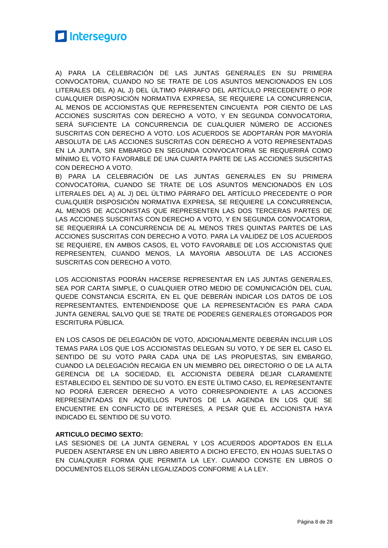

A) PARA LA CELEBRACIÓN DE LAS JUNTAS GENERALES EN SU PRIMERA CONVOCATORIA, CUANDO NO SE TRATE DE LOS ASUNTOS MENCIONADOS EN LOS LITERALES DEL A) AL J) DEL ÚLTIMO PÁRRAFO DEL ARTÍCULO PRECEDENTE O POR CUALQUIER DISPOSICIÓN NORMATIVA EXPRESA, SE REQUIERE LA CONCURRENCIA, AL MENOS DE ACCIONISTAS QUE REPRESENTEN CINCUENTA POR CIENTO DE LAS ACCIONES SUSCRITAS CON DERECHO A VOTO, Y EN SEGUNDA CONVOCATORIA, SERÁ SUFICIENTE LA CONCURRENCIA DE CUALQUIER NÚMERO DE ACCIONES SUSCRITAS CON DERECHO A VOTO. LOS ACUERDOS SE ADOPTARÁN POR MAYORÍA ABSOLUTA DE LAS ACCIONES SUSCRITAS CON DERECHO A VOTO REPRESENTADAS EN LA JUNTA, SIN EMBARGO EN SEGUNDA CONVOCATORIA SE REQUERIRÁ COMO MÍNIMO EL VOTO FAVORABLE DE UNA CUARTA PARTE DE LAS ACCIONES SUSCRITAS CON DERECHO A VOTO.

B) PARA LA CELEBRACIÓN DE LAS JUNTAS GENERALES EN SU PRIMERA CONVOCATORIA, CUANDO SE TRATE DE LOS ASUNTOS MENCIONADOS EN LOS LITERALES DEL A) AL J) DEL ÚLTIMO PÁRRAFO DEL ARTÍCULO PRECEDENTE O POR CUALQUIER DISPOSICIÓN NORMATIVA EXPRESA, SE REQUIERE LA CONCURRENCIA, AL MENOS DE ACCIONISTAS QUE REPRESENTEN LAS DOS TERCERAS PARTES DE LAS ACCIONES SUSCRITAS CON DERECHO A VOTO, Y EN SEGUNDA CONVOCATORIA, SE REQUERIRÁ LA CONCURRENCIA DE AL MENOS TRES QUINTAS PARTES DE LAS ACCIONES SUSCRITAS CON DERECHO A VOTO. PARA LA VALIDEZ DE LOS ACUERDOS SE REQUIERE, EN AMBOS CASOS, EL VOTO FAVORABLE DE LOS ACCIONISTAS QUE REPRESENTEN, CUANDO MENOS, LA MAYORIA ABSOLUTA DE LAS ACCIONES SUSCRITAS CON DERECHO A VOTO.

LOS ACCIONISTAS PODRÁN HACERSE REPRESENTAR EN LAS JUNTAS GENERALES, SEA POR CARTA SIMPLE, O CUALQUIER OTRO MEDIO DE COMUNICACIÓN DEL CUAL QUEDE CONSTANCIA ESCRITA, EN EL QUE DEBERÁN INDICAR LOS DATOS DE LOS REPRESENTANTES, ENTENDIENDOSE QUE LA REPRESENTACIÓN ES PARA CADA JUNTA GENERAL SALVO QUE SE TRATE DE PODERES GENERALES OTORGADOS POR ESCRITURA PÚBLICA.

EN LOS CASOS DE DELEGACIÓN DE VOTO, ADICIONALMENTE DEBERÁN INCLUIR LOS TEMAS PARA LOS QUE LOS ACCIONISTAS DELEGAN SU VOTO, Y DE SER EL CASO EL SENTIDO DE SU VOTO PARA CADA UNA DE LAS PROPUESTAS, SIN EMBARGO, CUANDO LA DELEGACIÓN RECAIGA EN UN MIEMBRO DEL DIRECTORIO O DE LA ALTA GERENCIA DE LA SOCIEDAD, EL ACCIONISTA DEBERÁ DEJAR CLARAMENTE ESTABLECIDO EL SENTIDO DE SU VOTO. EN ESTE ÚLTIMO CASO, EL REPRESENTANTE NO PODRÁ EJERCER DERECHO A VOTO CORRESPONDIENTE A LAS ACCIONES REPRESENTADAS EN AQUELLOS PUNTOS DE LA AGENDA EN LOS QUE SE ENCUENTRE EN CONFLICTO DE INTERESES, A PESAR QUE EL ACCIONISTA HAYA INDICADO EL SENTIDO DE SU VOTO.

#### **ARTICULO DECIMO SEXTO:**

LAS SESIONES DE LA JUNTA GENERAL Y LOS ACUERDOS ADOPTADOS EN ELLA PUEDEN ASENTARSE EN UN LIBRO ABIERTO A DICHO EFECTO, EN HOJAS SUELTAS O EN CUALQUIER FORMA QUE PERMITA LA LEY. CUANDO CONSTE EN LIBROS O DOCUMENTOS ELLOS SERÁN LEGALIZADOS CONFORME A LA LEY.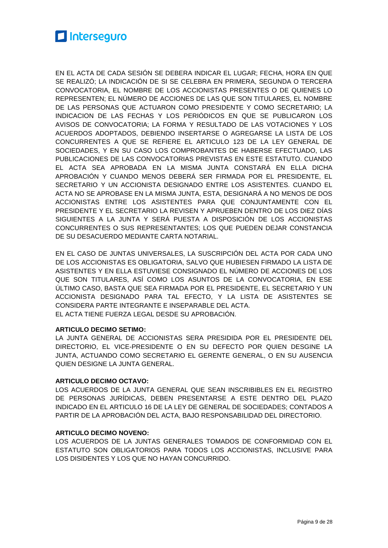EN EL ACTA DE CADA SESIÓN SE DEBERA INDICAR EL LUGAR; FECHA, HORA EN QUE SE REALIZÓ; LA INDICACIÓN DE SI SE CELEBRA EN PRIMERA, SEGUNDA O TERCERA CONVOCATORIA, EL NOMBRE DE LOS ACCIONISTAS PRESENTES O DE QUIENES LO REPRESENTEN; EL NÚMERO DE ACCIONES DE LAS QUE SON TITULARES, EL NOMBRE DE LAS PERSONAS QUE ACTUARON COMO PRESIDENTE Y COMO SECRETARIO; LA INDICACION DE LAS FECHAS Y LOS PERIÓDICOS EN QUE SE PUBLICARON LOS AVISOS DE CONVOCATORIA; LA FORMA Y RESULTADO DE LAS VOTACIONES Y LOS ACUERDOS ADOPTADOS, DEBIENDO INSERTARSE O AGREGARSE LA LISTA DE LOS CONCURRENTES A QUE SE REFIERE EL ARTICULO 123 DE LA LEY GENERAL DE SOCIEDADES, Y EN SU CASO LOS COMPROBANTES DE HABERSE EFECTUADO, LAS PUBLICACIONES DE LAS CONVOCATORIAS PREVISTAS EN ESTE ESTATUTO. CUANDO EL ACTA SEA APROBADA EN LA MISMA JUNTA CONSTARÁ EN ELLA DICHA APROBACIÓN Y CUANDO MENOS DEBERÁ SER FIRMADA POR EL PRESIDENTE, EL SECRETARIO Y UN ACCIONISTA DESIGNADO ENTRE LOS ASISTENTES. CUANDO EL ACTA NO SE APROBASE EN LA MISMA JUNTA, ESTA, DESIGNARÁ A NO MENOS DE DOS ACCIONISTAS ENTRE LOS ASISTENTES PARA QUE CONJUNTAMENTE CON EL PRESIDENTE Y EL SECRETARIO LA REVISEN Y APRUEBEN DENTRO DE LOS DIEZ DÍAS SIGUIENTES A LA JUNTA Y SERÁ PUESTA A DISPOSICIÓN DE LOS ACCIONISTAS CONCURRENTES O SUS REPRESENTANTES; LOS QUE PUEDEN DEJAR CONSTANCIA DE SU DESACUERDO MEDIANTE CARTA NOTARIAL.

EN EL CASO DE JUNTAS UNIVERSALES, LA SUSCRIPCIÓN DEL ACTA POR CADA UNO DE LOS ACCIONISTAS ES OBLIGATORIA, SALVO QUE HUBIESEN FIRMADO LA LISTA DE ASISTENTES Y EN ELLA ESTUVIESE CONSIGNADO EL NÚMERO DE ACCIONES DE LOS QUE SON TITULARES, ASÍ COMO LOS ASUNTOS DE LA CONVOCATORIA, EN ESE ÚLTIMO CASO, BASTA QUE SEA FIRMADA POR EL PRESIDENTE, EL SECRETARIO Y UN ACCIONISTA DESIGNADO PARA TAL EFECTO, Y LA LISTA DE ASISTENTES SE CONSIDERA PARTE INTEGRANTE E INSEPARABLE DEL ACTA. EL ACTA TIENE FUERZA LEGAL DESDE SU APROBACIÓN.

#### **ARTICULO DECIMO SETIMO:**

LA JUNTA GENERAL DE ACCIONISTAS SERA PRESIDIDA POR EL PRESIDENTE DEL DIRECTORIO, EL VICE-PRESIDENTE O EN SU DEFECTO POR QUIEN DESGINE LA JUNTA, ACTUANDO COMO SECRETARIO EL GERENTE GENERAL, O EN SU AUSENCIA QUIEN DESIGNE LA JUNTA GENERAL.

#### **ARTICULO DECIMO OCTAVO:**

LOS ACUERDOS DE LA JUNTA GENERAL QUE SEAN INSCRIBIBLES EN EL REGISTRO DE PERSONAS JURÍDICAS, DEBEN PRESENTARSE A ESTE DENTRO DEL PLAZO INDICADO EN EL ARTICULO 16 DE LA LEY DE GENERAL DE SOCIEDADES; CONTADOS A PARTIR DE LA APROBACIÓN DEL ACTA, BAJO RESPONSABILIDAD DEL DIRECTORIO.

#### **ARTICULO DECIMO NOVENO:**

LOS ACUERDOS DE LA JUNTAS GENERALES TOMADOS DE CONFORMIDAD CON EL ESTATUTO SON OBLIGATORIOS PARA TODOS LOS ACCIONISTAS, INCLUSIVE PARA LOS DISIDENTES Y LOS QUE NO HAYAN CONCURRIDO.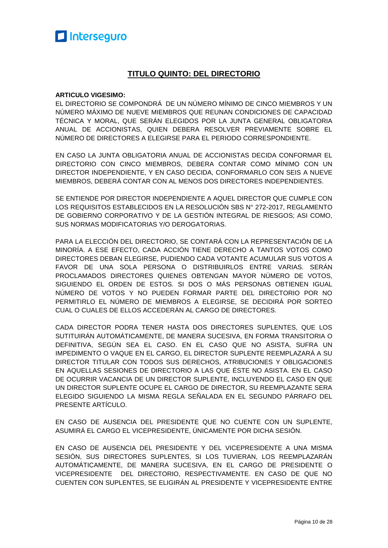#### **TITULO QUINTO: DEL DIRECTORIO**

#### **ARTICULO VIGESIMO:**

EL DIRECTORIO SE COMPONDRÁ DE UN NÚMERO MÍNIMO DE CINCO MIEMBROS Y UN NÚMERO MÁXIMO DE NUEVE MIEMBROS QUE REUNAN CONDICIONES DE CAPACIDAD TÉCNICA Y MORAL, QUE SERÁN ELEGIDOS POR LA JUNTA GENERAL OBLIGATORIA ANUAL DE ACCIONISTAS, QUIEN DEBERA RESOLVER PREVIAMENTE SOBRE EL NÚMERO DE DIRECTORES A ELEGIRSE PARA EL PERIODO CORRESPONDIENTE.

EN CASO LA JUNTA OBLIGATORIA ANUAL DE ACCIONISTAS DECIDA CONFORMAR EL DIRECTORIO CON CINCO MIEMBROS, DEBERA CONTAR COMO MÍNIMO CON UN DIRECTOR INDEPENDIENTE, Y EN CASO DECIDA, CONFORMARLO CON SEIS A NUEVE MIEMBROS, DEBERÁ CONTAR CON AL MENOS DOS DIRECTORES INDEPENDIENTES.

SE ENTIENDE POR DIRECTOR INDEPENDIENTE A AQUEL DIRECTOR QUE CUMPLE CON LOS REQUISITOS ESTABLECIDOS EN LA RESOLUCIÓN SBS N° 272-2017, REGLAMENTO DE GOBIERNO CORPORATIVO Y DE LA GESTIÓN INTEGRAL DE RIESGOS; ASI COMO, SUS NORMAS MODIFICATORIAS Y/O DEROGATORIAS.

PARA LA ELECCIÓN DEL DIRECTORIO, SE CONTARÁ CON LA REPRESENTACIÓN DE LA MINORÍA. A ESE EFECTO, CADA ACCIÓN TIENE DERECHO A TANTOS VOTOS COMO DIRECTORES DEBAN ELEGIRSE, PUDIENDO CADA VOTANTE ACUMULAR SUS VOTOS A FAVOR DE UNA SOLA PERSONA O DISTRIBUIRLOS ENTRE VARIAS. SERÁN PROCLAMADOS DIRECTORES QUIENES OBTENGAN MAYOR NÚMERO DE VOTOS, SIGUIENDO EL ORDEN DE ESTOS. SI DOS O MÁS PERSONAS OBTIENEN IGUAL NÚMERO DE VOTOS Y NO PUEDEN FORMAR PARTE DEL DIRECTORIO POR NO PERMITIRLO EL NÚMERO DE MIEMBROS A ELEGIRSE, SE DECIDIRÁ POR SORTEO CUAL O CUALES DE ELLOS ACCEDERÁN AL CARGO DE DIRECTORES.

CADA DIRECTOR PODRA TENER HASTA DOS DIRECTORES SUPLENTES, QUE LOS SUTITUIRÁN AUTOMÁTICAMENTE, DE MANERA SUCESIVA, EN FORMA TRANSITORIA O DEFINITIVA, SEGÚN SEA EL CASO. EN EL CASO QUE NO ASISTA, SUFRA UN IMPEDIMENTO O VAQUE EN EL CARGO, EL DIRECTOR SUPLENTE REEMPLAZARÁ A SU DIRECTOR TITULAR CON TODOS SUS DERECHOS, ATRIBUCIONES Y OBLIGACIONES EN AQUELLAS SESIONES DE DIRECTORIO A LAS QUE ÉSTE NO ASISTA. EN EL CASO DE OCURRIR VACANCIA DE UN DIRECTOR SUPLENTE, INCLUYENDO EL CASO EN QUE UN DIRECTOR SUPLENTE OCUPE EL CARGO DE DIRECTOR, SU REEMPLAZANTE SERA ELEGIDO SIGUIENDO LA MISMA REGLA SEÑALADA EN EL SEGUNDO PÁRRAFO DEL PRESENTE ARTÍCULO.

EN CASO DE AUSENCIA DEL PRESIDENTE QUE NO CUENTE CON UN SUPLENTE, ASUMIRÁ EL CARGO EL VICEPRESIDENTE, ÚNICAMENTE POR DICHA SESIÓN.

EN CASO DE AUSENCIA DEL PRESIDENTE Y DEL VICEPRESIDENTE A UNA MISMA SESIÓN, SUS DIRECTORES SUPLENTES, SI LOS TUVIERAN, LOS REEMPLAZARÁN AUTOMÁTICAMENTE, DE MANERA SUCESIVA, EN EL CARGO DE PRESIDENTE O VICEPRESIDENTE DEL DIRECTORIO, RESPECTIVAMENTE. EN CASO DE QUE NO CUENTEN CON SUPLENTES, SE ELIGIRÁN AL PRESIDENTE Y VICEPRESIDENTE ENTRE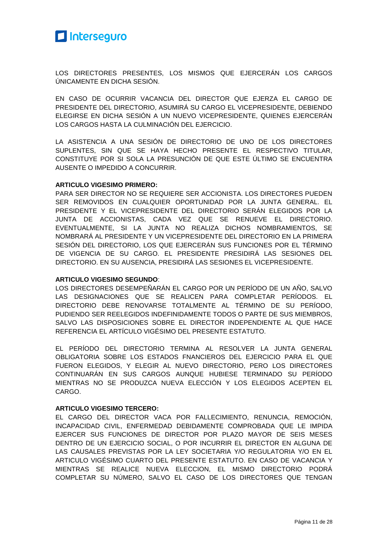

LOS DIRECTORES PRESENTES, LOS MISMOS QUE EJERCERÁN LOS CARGOS ÚNICAMENTE EN DICHA SESIÓN.

EN CASO DE OCURRIR VACANCIA DEL DIRECTOR QUE EJERZA EL CARGO DE PRESIDENTE DEL DIRECTORIO, ASUMIRÁ SU CARGO EL VICEPRESIDENTE, DEBIENDO ELEGIRSE EN DICHA SESIÓN A UN NUEVO VICEPRESIDENTE, QUIENES EJERCERÁN LOS CARGOS HASTA LA CULMINACIÓN DEL EJERCICIO.

LA ASISTENCIA A UNA SESIÓN DE DIRECTORIO DE UNO DE LOS DIRECTORES SUPLENTES, SIN QUE SE HAYA HECHO PRESENTE EL RESPECTIVO TITULAR, CONSTITUYE POR SI SOLA LA PRESUNCIÓN DE QUE ESTE ÚLTIMO SE ENCUENTRA AUSENTE O IMPEDIDO A CONCURRIR.

#### **ARTICULO VIGESIMO PRIMERO:**

PARA SER DIRECTOR NO SE REQUIERE SER ACCIONISTA. LOS DIRECTORES PUEDEN SER REMOVIDOS EN CUALQUIER OPORTUNIDAD POR LA JUNTA GENERAL. EL PRESIDENTE Y EL VICEPRESIDENTE DEL DIRECTORIO SERÁN ELEGIDOS POR LA JUNTA DE ACCIONISTAS, CADA VEZ QUE SE RENUEVE EL DIRECTORIO. EVENTUALMENTE, SI LA JUNTA NO REALIZA DICHOS NOMBRAMIENTOS, SE NOMBRARÁ AL PRESIDENTE Y UN VICEPRESIDENTE DEL DIRECTORIO EN LA PRIMERA SESIÓN DEL DIRECTORIO, LOS QUE EJERCERÁN SUS FUNCIONES POR EL TÉRMINO DE VIGENCIA DE SU CARGO. EL PRESIDENTE PRESIDIRÁ LAS SESIONES DEL DIRECTORIO. EN SU AUSENCIA, PRESIDIRÁ LAS SESIONES EL VICEPRESIDENTE.

#### **ARTICULO VIGESIMO SEGUNDO**:

LOS DIRECTORES DESEMPEÑARÁN EL CARGO POR UN PERÍODO DE UN AÑO, SALVO LAS DESIGNACIONES QUE SE REALICEN PARA COMPLETAR PERÍODOS. EL DIRECTORIO DEBE RENOVARSE TOTALMENTE AL TÉRMINO DE SU PERÍODO, PUDIENDO SER REELEGIDOS INDEFINIDAMENTE TODOS O PARTE DE SUS MIEMBROS, SALVO LAS DISPOSICIONES SOBRE EL DIRECTOR INDEPENDIENTE AL QUE HACE REFERENCIA EL ARTÍCULO VIGÉSIMO DEL PRESENTE ESTATUTO.

EL PERÍODO DEL DIRECTORIO TERMINA AL RESOLVER LA JUNTA GENERAL OBLIGATORIA SOBRE LOS ESTADOS FNANCIEROS DEL EJERCICIO PARA EL QUE FUERON ELEGIDOS, Y ELEGIR AL NUEVO DIRECTORIO, PERO LOS DIRECTORES CONTINUARÁN EN SUS CARGOS AUNQUE HUBIESE TERMINADO SU PERÍODO MIENTRAS NO SE PRODUZCA NUEVA ELECCIÓN Y LOS ELEGIDOS ACEPTEN EL CARGO.

#### **ARTICULO VIGESIMO TERCERO:**

EL CARGO DEL DIRECTOR VACA POR FALLECIMIENTO, RENUNCIA, REMOCIÓN, INCAPACIDAD CIVIL, ENFERMEDAD DEBIDAMENTE COMPROBADA QUE LE IMPIDA EJERCER SUS FUNCIONES DE DIRECTOR POR PLAZO MAYOR DE SEIS MESES DENTRO DE UN EJERCICIO SOCIAL, O POR INCURRIR EL DIRECTOR EN ALGUNA DE LAS CAUSALES PREVISTAS POR LA LEY SOCIETARIA Y/O REGULATORIA Y/O EN EL ARTICULO VIGÉSIMO CUARTO DEL PRESENTE ESTATUTO. EN CASO DE VACANCIA Y MIENTRAS SE REALICE NUEVA ELECCION, EL MISMO DIRECTORIO PODRÁ COMPLETAR SU NÚMERO, SALVO EL CASO DE LOS DIRECTORES QUE TENGAN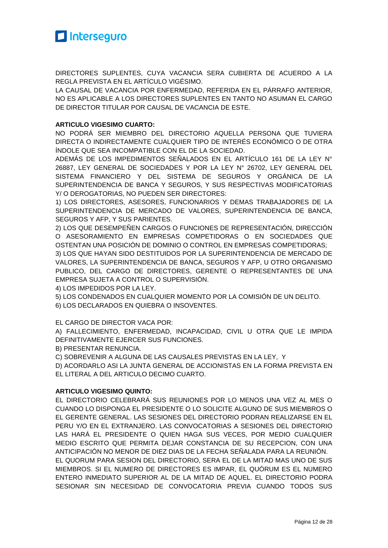

DIRECTORES SUPLENTES, CUYA VACANCIA SERA CUBIERTA DE ACUERDO A LA REGLA PREVISTA EN EL ARTÍCULO VIGÉSIMO.

LA CAUSAL DE VACANCIA POR ENFERMEDAD, REFERIDA EN EL PÁRRAFO ANTERIOR, NO ES APLICABLE A LOS DIRECTORES SUPLENTES EN TANTO NO ASUMAN EL CARGO DE DIRECTOR TITULAR POR CAUSAL DE VACANCIA DE ESTE.

#### **ARTICULO VIGESIMO CUARTO:**

NO PODRÁ SER MIEMBRO DEL DIRECTORIO AQUELLA PERSONA QUE TUVIERA DIRECTA O INDIRECTAMENTE CUALQUIER TIPO DE INTERÉS ECONÓMICO O DE OTRA ÍNDOLE QUE SEA INCOMPATIBLE CON EL DE LA SOCIEDAD.

ADEMÁS DE LOS IMPEDIMENTOS SEÑALADOS EN EL ARTÍCULO 161 DE LA LEY N° 26887, LEY GENERAL DE SOCIEDADES Y POR LA LEY N° 26702, LEY GENERAL DEL SISTEMA FINANCIERO Y DEL SISTEMA DE SEGUROS Y ORGÁNICA DE LA SUPERINTENDENCIA DE BANCA Y SEGUROS, Y SUS RESPECTIVAS MODIFICATORIAS Y/ O DEROGATORIAS, NO PUEDEN SER DIRECTORES:

1) LOS DIRECTORES, ASESORES, FUNCIONARIOS Y DEMAS TRABAJADORES DE LA SUPERINTENDENCIA DE MERCADO DE VALORES, SUPERINTENDENCIA DE BANCA, SEGUROS Y AFP, Y SUS PARIENTES.

2) LOS QUE DESEMPEÑEN CARGOS O FUNCIONES DE REPRESENTACIÓN, DIRECCIÓN O ASESORAMIENTO EN EMPRESAS COMPETIDORAS O EN SOCIEDADES QUE OSTENTAN UNA POSICIÓN DE DOMINIO O CONTROL EN EMPRESAS COMPETIDORAS;

3) LOS QUE HAYAN SIDO DESTITUIDOS POR LA SUPERINTENDENCIA DE MERCADO DE VALORES, LA SUPERINTENDENCIA DE BANCA, SEGUROS Y AFP, U OTRO ORGANISMO PUBLICO, DEL CARGO DE DIRECTORES, GERENTE O REPRESENTANTES DE UNA EMPRESA SUJETA A CONTROL O SUPERVISIÓN.

4) LOS IMPEDIDOS POR LA LEY.

5) LOS CONDENADOS EN CUALQUIER MOMENTO POR LA COMISIÓN DE UN DELITO.

6) LOS DECLARADOS EN QUIEBRA O INSOVENTES.

EL CARGO DE DIRECTOR VACA POR:

A) FALLECIMIENTO, ENFERMEDAD, INCAPACIDAD, CIVIL U OTRA QUE LE IMPIDA DEFINITIVAMENTE EJERCER SUS FUNCIONES.

B) PRESENTAR RENUNCIA.

C) SOBREVENIR A ALGUNA DE LAS CAUSALES PREVISTAS EN LA LEY, Y

D) ACORDARLO ASI LA JUNTA GENERAL DE ACCIONISTAS EN LA FORMA PREVISTA EN EL LITERAL A DEL ARTICULO DECIMO CUARTO.

#### **ARTICULO VIGESIMO QUINTO:**

EL DIRECTORIO CELEBRARÁ SUS REUNIONES POR LO MENOS UNA VEZ AL MES O CUANDO LO DISPONGA EL PRESIDENTE O LO SOLICITE ALGUNO DE SUS MIEMBROS O EL GERENTE GENERAL. LAS SESIONES DEL DIRECTORIO PODRAN REALIZARSE EN EL PERU Y/O EN EL EXTRANJERO. LAS CONVOCATORIAS A SESIONES DEL DIRECTORIO LAS HARÁ EL PRESIDENTE O QUIEN HAGA SUS VECES, POR MEDIO CUALQUIER MEDIO ESCRITO QUE PERMITA DEJAR CONSTANCIA DE SU RECEPCION, CON UNA ANTICIPACIÓN NO MENOR DE DIEZ DIAS DE LA FECHA SEÑALADA PARA LA REUNIÓN. EL QUORUM PARA SESION DEL DIRECTORIO, SERA EL DE LA MITAD MAS UNO DE SUS MIEMBROS. SI EL NUMERO DE DIRECTORES ES IMPAR, EL QUÓRUM ES EL NUMERO

ENTERO INMEDIATO SUPERIOR AL DE LA MITAD DE AQUEL. EL DIRECTORIO PODRA SESIONAR SIN NECESIDAD DE CONVOCATORIA PREVIA CUANDO TODOS SUS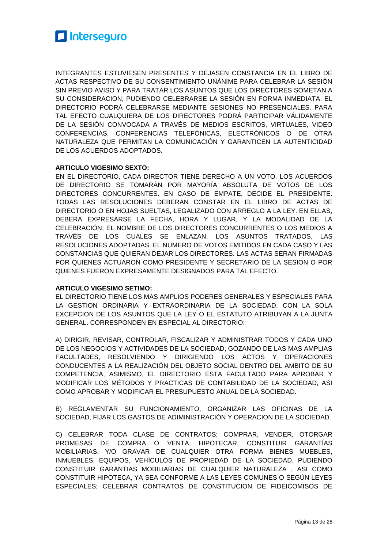

INTEGRANTES ESTUVIESEN PRESENTES Y DEJASEN CONSTANCIA EN EL LIBRO DE ACTAS RESPECTIVO DE SU CONSENTIMIENTO UNÁNIME PARA CELEBRAR LA SESIÓN SIN PREVIO AVISO Y PARA TRATAR LOS ASUNTOS QUE LOS DIRECTORES SOMETAN A SU CONSIDERACION, PUDIENDO CELEBRARSE LA SESIÓN EN FORMA INMEDIATA. EL DIRECTORIO PODRÁ CELEBRARSE MEDIANTE SESIONES NO PRESENCIALES. PARA TAL EFECTO CUALQUIERA DE LOS DIRECTORES PODRÁ PARTICIPAR VÁLIDAMENTE DE LA SESIÓN CONVOCADA A TRAVÉS DE MEDIOS ESCRITOS, VIRTUALES, VIDEO CONFERENCIAS, CONFERENCIAS TELEFÓNICAS, ELECTRÓNICOS O DE OTRA NATURALEZA QUE PERMITAN LA COMUNICACIÓN Y GARANTICEN LA AUTENTICIDAD DE LOS ACUERDOS ADOPTADOS.

#### **ARTICULO VIGESIMO SEXTO:**

EN EL DIRECTORIO, CADA DIRECTOR TIENE DERECHO A UN VOTO. LOS ACUERDOS DE DIRECTORIO SE TOMARÁN POR MAYORÍA ABSOLUTA DE VOTOS DE LOS DIRECTORES CONCURRENTES. EN CASO DE EMPATE, DECIDE EL PRESIDENTE. TODAS LAS RESOLUCIONES DEBERAN CONSTAR EN EL LIBRO DE ACTAS DE DIRECTORIO O EN HOJAS SUELTAS, LEGALIZADO CON ARREGLO A LA LEY. EN ELLAS, DEBERA EXPRESARSE LA FECHA, HORA Y LUGAR, Y LA MODALIDAD DE LA CELEBRACIÓN; EL NOMBRE DE LOS DIRECTORES CONCURRENTES O LOS MEDIOS A TRAVÉS DE LOS CUALES SE ENLAZAN, LOS ASUNTOS TRATADOS, LAS RESOLUCIONES ADOPTADAS, EL NUMERO DE VOTOS EMITIDOS EN CADA CASO Y LAS CONSTANCIAS QUE QUIERAN DEJAR LOS DIRECTORES. LAS ACTAS SERAN FIRMADAS POR QUIENES ACTUARON COMO PRESIDENTE Y SECRETARIO DE LA SESION O POR QUIENES FUERON EXPRESAMENTE DESIGNADOS PARA TAL EFECTO.

#### **ARTICULO VIGESIMO SETIMO:**

EL DIRECTORIO TIENE LOS MAS AMPLIOS PODERES GENERALES Y ESPECIALES PARA LA GESTION ORDINARIA Y EXTRAORDINARIA DE LA SOCIEDAD, CON LA SOLA EXCEPCION DE LOS ASUNTOS QUE LA LEY O EL ESTATUTO ATRIBUYAN A LA JUNTA GENERAL. CORRESPONDEN EN ESPECIAL AL DIRECTORIO:

A) DIRIGIR, REVISAR, CONTROLAR, FISCALIZAR Y ADMINISTRAR TODOS Y CADA UNO DE LOS NEGOCIOS Y ACTIVIDADES DE LA SOCIEDAD, GOZANDO DE LAS MAS AMPLIAS FACULTADES, RESOLVIENDO Y DIRIGIENDO LOS ACTOS Y OPERACIONES CONDUCENTES A LA REALIZACIÓN DEL OBJETO SOCIAL DENTRO DEL AMBITO DE SU COMPETENCIA, ASIMISMO, EL DIRECTORIO ESTA FACULTADO PARA APROBAR Y MODIFICAR LOS MÉTODOS Y PRACTICAS DE CONTABILIDAD DE LA SOCIEDAD, ASI COMO APROBAR Y MODIFICAR EL PRESUPUESTO ANUAL DE LA SOCIEDAD.

B) REGLAMENTAR SU FUNCIONAMIENTO, ORGANIZAR LAS OFICINAS DE LA SOCIEDAD, FIJAR LOS GASTOS DE ADIMINISTRACIÓN Y OPERACION DE LA SOCIEDAD.

C) CELEBRAR TODA CLASE DE CONTRATOS; COMPRAR, VENDER, OTORGAR PROMESAS DE COMPRA O VENTA, HIPOTECAR, CONSTITUIR GARANTÍAS MOBILIARIAS, Y/O GRAVAR DE CUALQUIER OTRA FORMA BIENES MUEBLES, INMUEBLES, EQUIPOS, VEHÍCULOS DE PROPIEDAD DE LA SOCIEDAD, PUDIENDO CONSTITUIR GARANTIAS MOBILIARIAS DE CUALQUIER NATURALEZA , ASI COMO CONSTITUIR HIPOTECA, YA SEA CONFORME A LAS LEYES COMUNES O SEGÚN LEYES ESPECIALES; CELEBRAR CONTRATOS DE CONSTITUCION DE FIDEICOMISOS DE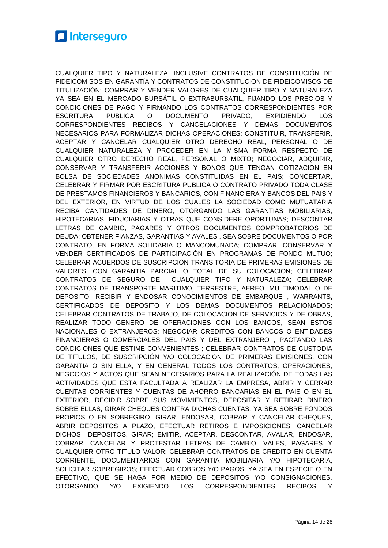CUALQUIER TIPO Y NATURALEZA, INCLUSIVE CONTRATOS DE CONSTITUCIÓN DE FIDEICOMISOS EN GARANTÍA Y CONTRATOS DE CONSTITUCION DE FIDEICOMISOS DE TITULIZACIÓN; COMPRAR Y VENDER VALORES DE CUALQUIER TIPO Y NATURALEZA YA SEA EN EL MERCADO BURSÁTIL O EXTRABURSATIL, FIJANDO LOS PRECIOS Y CONDICIONES DE PAGO Y FIRMANDO LOS CONTRATOS CORRESPONDIENTES POR ESCRITURA PUBLICA O DOCUMENTO PRIVADO, EXPIDIENDO LOS CORRESPONDIENTES RECIBOS Y CANCELACIONES Y DEMAS DOCUMENTOS NECESARIOS PARA FORMALIZAR DICHAS OPERACIONES; CONSTITUIR, TRANSFERIR, ACEPTAR Y CANCELAR CUALQUIER OTRO DERECHO REAL, PERSONAL O DE CUALQUIER NATURALEZA Y PROCEDER EN LA MISMA FORMA RESPECTO DE CUALQUIER OTRO DERECHO REAL, PERSONAL O MIXTO; NEGOCIAR, ADQUIRIR, CONSERVAR Y TRANSFERIR ACCIONES Y BONOS QUE TENGAN COTIZACION EN BOLSA DE SOCIEDADES ANONIMAS CONSTITUIDAS EN EL PAIS; CONCERTAR, CELEBRAR Y FIRMAR POR ESCRITURA PUBLICA O CONTRATO PRIVADO TODA CLASE DE PRESTAMOS FINANCIEROS Y BANCARIOS, CON FINANCIERA Y BANCOS DEL PAIS Y DEL EXTERIOR, EN VIRTUD DE LOS CUALES LA SOCIEDAD COMO MUTUATARIA RECIBA CANTIDADES DE DINERO, OTORGANDO LAS GARANTIAS MOBILIARIAS, HIPOTECARIAS, FIDUCIARIAS Y OTRAS QUE CONSIDERE OPORTUNAS; DESCONTAR LETRAS DE CAMBIO, PAGARES Y OTROS DOCUMENTOS COMPROBATORIOS DE DEUDA; OBTENER FIANZAS, GARANTIAS Y AVALES , SEA SOBRE DOCUMENTOS O POR CONTRATO, EN FORMA SOLIDARIA O MANCOMUNADA; COMPRAR, CONSERVAR Y VENDER CERTIFICADOS DE PARTICIPACIÓN EN PROGRAMAS DE FONDO MUTUO; CELEBRAR ACUERDOS DE SUSCRIPCIÓN TRANSITORIA DE PRIMERAS EMISIONES DE VALORES, CON GARANTIA PARCIAL O TOTAL DE SU COLOCACION; CELEBRAR CONTRATOS DE SEGURO DE CUALQUIER TIPO Y NATURALEZA; CELEBRAR CONTRATOS DE TRANSPORTE MARITIMO, TERRESTRE, AEREO, MULTIMODAL O DE DEPOSITO; RECIBIR Y ENDOSAR CONOCIMIENTOS DE EMBARQUE , WARRANTS, CERTIFICADOS DE DEPOSITO Y LOS DEMAS DOCUMENTOS RELACIONADOS; CELEBRAR CONTRATOS DE TRABAJO, DE COLOCACION DE SERVICIOS Y DE OBRAS, REALIZAR TODO GENERO DE OPERACIONES CON LOS BANCOS, SEAN ESTOS NACIONALES O EXTRANJEROS; NEGOCIAR CREDITOS CON BANCOS O ENTIDADES FINANCIERAS O COMERCIALES DEL PAIS Y DEL EXTRANJERO , PACTANDO LAS CONDICIONES QUE ESTIME CONVENIENTES ; CELEBRAR CONTRATOS DE CUSTODIA DE TITULOS, DE SUSCRIPCIÓN Y/O COLOCACION DE PRIMERAS EMISIONES, CON GARANTIA O SIN ELLA, Y EN GENERAL TODOS LOS CONTRATOS, OPERACIONES, NEGOCIOS Y ACTOS QUE SEAN NECESARIOS PARA LA REALIZACIÓN DE TODAS LAS ACTIVIDADES QUE ESTA FACULTADA A REALIZAR LA EMPRESA, ABRIR Y CERRAR CUENTAS CORRIENTES Y CUENTAS DE AHORRO BANCARIAS EN EL PAIS O EN EL EXTERIOR, DECIDIR SOBRE SUS MOVIMIENTOS, DEPOSITAR Y RETIRAR DINERO SOBRE ELLAS, GIRAR CHEQUES CONTRA DICHAS CUENTAS, YA SEA SOBRE FONDOS PROPIOS O EN SOBREGIRO, GIRAR, ENDOSAR, COBRAR Y CANCELAR CHEQUES, ABRIR DEPOSITOS A PLAZO, EFECTUAR RETIROS E IMPOSICIONES, CANCELAR DICHOS DEPOSITOS, GIRAR; EMITIR, ACEPTAR, DESCONTAR, AVALAR, ENDOSAR, COBRAR, CANCELAR Y PROTESTAR LETRAS DE CAMBIO, VALES, PAGARES Y CUALQUIER OTRO TITULO VALOR; CELEBRAR CONTRATOS DE CREDITO EN CUENTA CORRIENTE, DOCUMENTARIOS CON GARANTIA MOBILIARIA Y/O HIPOTECARIA, SOLICITAR SOBREGIROS; EFECTUAR COBROS Y/O PAGOS, YA SEA EN ESPECIE O EN EFECTIVO, QUE SE HAGA POR MEDIO DE DEPOSITOS Y/O CONSIGNACIONES, OTORGANDO Y/O EXIGIENDO LOS CORRESPONDIENTES RECIBOS Y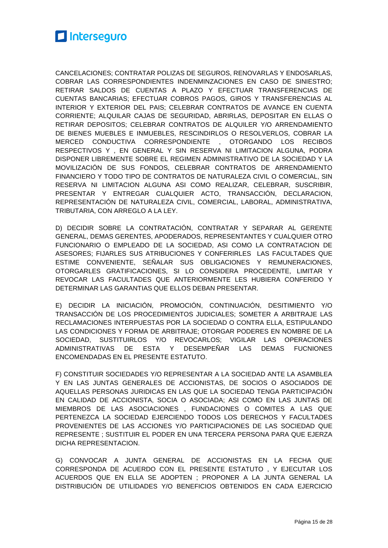

CANCELACIONES; CONTRATAR POLIZAS DE SEGUROS, RENOVARLAS Y ENDOSARLAS, COBRAR LAS CORRESPONDIENTES INDENMINZACIONES EN CASO DE SINIESTRO; RETIRAR SALDOS DE CUENTAS A PLAZO Y EFECTUAR TRANSFERENCIAS DE CUENTAS BANCARIAS; EFECTUAR COBROS PAGOS, GIROS Y TRANSFERENCIAS AL INTERIOR Y EXTERIOR DEL PAIS; CELEBRAR CONTRATOS DE AVANCE EN CUENTA CORRIENTE; ALQUILAR CAJAS DE SEGURIDAD, ABRIRLAS, DEPOSITAR EN ELLAS O RETIRAR DEPOSITOS; CELEBRAR CONTRATOS DE ALQUILER Y/O ARRENDAMIENTO DE BIENES MUEBLES E INMUEBLES, RESCINDIRLOS O RESOLVERLOS, COBRAR LA MERCED CONDUCTIVA CORRESPONDIENTE , OTORGANDO LOS RECIBOS RESPECTIVOS Y , EN GENERAL Y SIN RESERVA NI LIMITACION ALGUNA, PODRA DISPONER LIBREMENTE SOBRE EL REGIMEN ADMINISTRATIVO DE LA SOCIEDAD Y LA MOVILIZACIÓN DE SUS FONDOS, CELEBRAR CONTRATOS DE ARRENDAMIENTO FINANCIERO Y TODO TIPO DE CONTRATOS DE NATURALEZA CIVIL O COMERCIAL, SIN RESERVA NI LIMITACION ALGUNA ASI COMO REALIZAR, CELEBRAR, SUSCRIBIR, PRESENTAR Y ENTREGAR CUALQUIER ACTO, TRANSACCIÓN, DECLARACION, REPRESENTACIÓN DE NATURALEZA CIVIL, COMERCIAL, LABORAL, ADMINISTRATIVA, TRIBUTARIA, CON ARREGLO A LA LEY.

D) DECIDIR SOBRE LA CONTRATACIÓN, CONTRATAR Y SEPARAR AL GERENTE GENERAL, DEMAS GERENTES, APODERADOS, REPRESENTANTES Y CUALQUIER OTRO FUNCIONARIO O EMPLEADO DE LA SOCIEDAD, ASI COMO LA CONTRATACION DE ASESORES; FIJARLES SUS ATRIBUCIONES Y CONFERIRLES LAS FACULTADES QUE ESTIME CONVENIENTE, SEÑALAR SUS OBLIGACIONES Y REMUNERACIONES, OTORGARLES GRATIFICACIONES, SI LO CONSIDERA PROCEDENTE, LIMITAR Y REVOCAR LAS FACULTADES QUE ANTERIORMENTE LES HUBIERA CONFERIDO Y DETERMINAR LAS GARANTIAS QUE ELLOS DEBAN PRESENTAR.

E) DECIDIR LA INICIACIÓN, PROMOCIÓN, CONTINUACIÓN, DESITIMIENTO Y/O TRANSACCIÓN DE LOS PROCEDIMIENTOS JUDICIALES; SOMETER A ARBITRAJE LAS RECLAMACIONES INTERPUESTAS POR LA SOCIEDAD O CONTRA ELLA, ESTIPULANDO LAS CONDICIONES Y FORMA DE ARBITRAJE; OTORGAR PODERES EN NOMBRE DE LA SOCIEDAD, SUSTITUIRLOS Y/O REVOCARLOS; VIGILAR LAS OPERACIONES ADMINISTRATIVAS DE ESTA Y DESEMPEÑAR LAS DEMAS FUCNIONES ENCOMENDADAS EN EL PRESENTE ESTATUTO.

F) CONSTITUIR SOCIEDADES Y/O REPRESENTAR A LA SOCIEDAD ANTE LA ASAMBLEA Y EN LAS JUNTAS GENERALES DE ACCIONISTAS, DE SOCIOS O ASOCIADOS DE AQUELLAS PERSONAS JURIDICAS EN LAS QUE LA SOCIEDAD TENGA PARTICIPACIÓN EN CALIDAD DE ACCIONISTA, SOCIA O ASOCIADA; ASI COMO EN LAS JUNTAS DE MIEMBROS DE LAS ASOCIACIONES , FUNDACIONES O COMITES A LAS QUE PERTENEZCA LA SOCIEDAD EJERCIENDO TODOS LOS DERECHOS Y FACULTADES PROVENIENTES DE LAS ACCIONES Y/O PARTICIPACIONES DE LAS SOCIEDAD QUE REPRESENTE ; SUSTITUIR EL PODER EN UNA TERCERA PERSONA PARA QUE EJERZA DICHA REPRESENTACION.

G) CONVOCAR A JUNTA GENERAL DE ACCIONISTAS EN LA FECHA QUE CORRESPONDA DE ACUERDO CON EL PRESENTE ESTATUTO , Y EJECUTAR LOS ACUERDOS QUE EN ELLA SE ADOPTEN ; PROPONER A LA JUNTA GENERAL LA DISTRIBUCIÓN DE UTILIDADES Y/O BENEFICIOS OBTENIDOS EN CADA EJERCICIO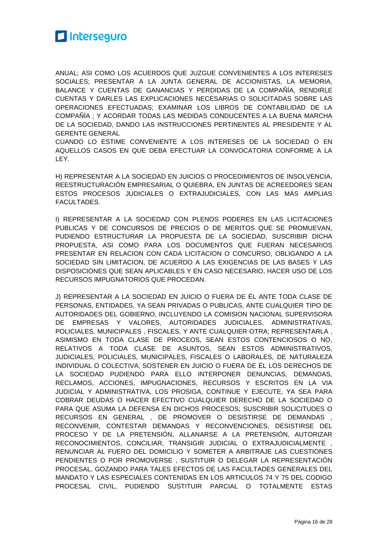

ANUAL; ASI COMO LOS ACUERDOS QUE JUZGUE CONVENIENTES A LOS INTERESES SOCIALES; PRESENTAR A LA JUNTA GENERAL DE ACCIONISTAS, LA MEMORIA, BALANCE Y CUENTAS DE GANANCIAS Y PERDIDAS DE LA COMPAÑÍA, RENDIRLE CUENTAS Y DARLES LAS EXPLICACIONES NECESARIAS O SOLICITADAS SOBRE LAS OPERACIONES EFECTUADAS; EXAMINAR LOS LIBROS DE CONTABILIDAD DE LA COMPAÑÍA ; Y ACORDAR TODAS LAS MEDIDAS CONDUCENTES A LA BUENA MARCHA DE LA SOCIEDAD, DANDO LAS INSTRUCCIONES PERTINENTES AL PRESIDENTE Y AL GERENTE GENERAL

CUANDO LO ESTIME CONVENIENTE A LOS INTERESES DE LA SOCIEDAD O EN AQUELLOS CASOS EN QUE DEBA EFECTUAR LA CONVOCATORIA CONFORME A LA LEY.

H) REPRESENTAR A LA SOCIEDAD EN JUICIOS O PROCEDIMIENTOS DE INSOLVENCIA, REESTRUCTURACIÓN EMPRESARIAL O QUIEBRA, EN JUNTAS DE ACREEDORES SEAN ESTOS PROCESOS JUDICIALES O EXTRAJUDICIALES, CON LAS MÁS AMPLIAS FACULTADES.

I) REPRESENTAR A LA SOCIEDAD CON PLENOS PODERES EN LAS LICITACIONES PUBLICAS Y DE CONCURSOS DE PRECIOS O DE MERITOS QUE SE PROMUEVAN, PUDIENDO ESTRUCTURAR LA PROPUESTA DE LA SOCIEDAD, SUSCRIBIR DICHA PROPUESTA, ASI COMO PARA LOS DOCUMENTOS QUE FUERAN NECESARIOS PRESENTAR EN RELACION CON CADA LICITACION O CONCURSO, OBLIGANDO A LA SOCIEDAD SIN LIMITACION, DE ACUERDO A LAS EXIGENCIAS DE LAS BASES Y LAS DISPOSICIONES QUE SEAN APLICABLES Y EN CASO NECESARIO, HACER USO DE LOS RECURSOS IMPUGNATORIOS QUE PROCEDAN.

J) REPRESENTAR A LA SOCIEDAD EN JUICIO O FUERA DE ÉL ANTE TODA CLASE DE PERSONAS, ENTIDADES, YA SEAN PRIVADAS O PUBLICAS, ANTE CUALQUIER TIPO DE AUTORIDADES DEL GOBIERNO, INCLUYENDO LA COMISION NACIONAL SUPERVISORA DE EMPRESAS Y VALORES, AUTORIDADES JUDICIALES, ADMINISTRATIVAS, POLICIALES, MUNICIPALES , FISCALES, Y ANTE CUALQUIER OTRA; REPRESENTARLA , ASIMISMO EN TODA CLASE DE PROCEOS, SEAN ESTOS CONTENCIOSOS O NO, RELATIVOS A TODA CLASE DE ASUNTOS, SEAN ESTOS ADMINISTRATIVOS, JUDICIALES, POLICIALES, MUNICIPALES, FISCALES O LABORALES, DE NATURALEZA INDIVIDUAL O COLECTIVA; SOSTENER EN JUICIO O FUERA DE ÉL LOS DERECHOS DE LA SOCIEDAD PUDIENDO PARA ELLO INTERPONER DENUNCIAS, DEMANDAS, RECLAMOS, ACCIONES, IMPUGNACIONES, RECURSOS Y ESCRITOS EN LA VIA JUDICIAL Y ADMINISTRATIVA, LOS PROSIGA, CONTINUE Y EJECUTE, YA SEA PARA COBRAR DEUDAS O HACER EFECTIVO CUALQUIER DERECHO DE LA SOCIEDAD O PARA QUE ASUMA LA DEFENSA EN DICHOS PROCESOS; SUSCRIBIR SOLICITUDES O RECURSOS EN GENERAL , DE PROMOVER O DESISTIRSE DE DEMANDAS , RECONVENIR, CONTESTAR DEMANDAS Y RECONVENCIONES, DESISTIRSE DEL PROCESO Y DE LA PRETENSIÓN, ALLANARSE A LA PRETENSIÓN, AUTORIZAR RECONOCIMIENTOS, CONCILIAR, TRANSIGIR JUDICIAL O EXTRAJUDICIALMENTE , RENUNCIAR AL FUERO DEL DOMICILIO Y SOMETER A ARBITRAJE LAS CUESTIONES PENDIENTES O POR PROMOVERSE , SUSTITUIR O DELEGAR LA REPRESENTACIÓN PROCESAL, GOZANDO PARA TALES EFECTOS DE LAS FACULTADES GENERALES DEL MANDATO Y LAS ESPECIALES CONTENIDAS EN LOS ARTICULOS 74 Y 75 DEL CODIGO PROCESAL CIVIL, PUDIENDO SUSTITUIR PARCIAL O TOTALMENTE ESTAS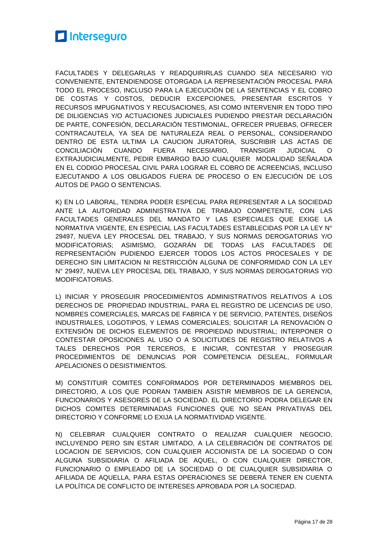

FACULTADES Y DELEGARLAS Y READQUIRIRLAS CUANDO SEA NECESARIO Y/O CONVENIENTE, ENTENDIENDOSE OTORGADA LA REPRESENTACIÓN PROCESAL PARA TODO EL PROCESO, INCLUSO PARA LA EJECUCIÓN DE LA SENTENCIAS Y EL COBRO DE COSTAS Y COSTOS, DEDUCIR EXCEPCIONES, PRESENTAR ESCRITOS Y RECURSOS IMPUGNATIVOS Y RECUSACIONES, ASI COMO INTERVENIR EN TODO TIPO DE DILIGENCIAS Y/O ACTUACIONES JUDICIALES PUDIENDO PRESTAR DECLARACIÓN DE PARTE, CONFESIÓN, DECLARACIÓN TESTIMONIAL, OFRECER PRUEBAS, OFRECER CONTRACAUTELA, YA SEA DE NATURALEZA REAL O PERSONAL, CONSIDERANDO DENTRO DE ESTA ULTIMA LA CAUCION JURATORIA, SUSCRIBIR LAS ACTAS DE CONCILIACIÓN CUANDO FUERA NECESIARIO, TRANSIGIR JUDICIAL O EXTRAJUDICIALMENTE, PEDIR EMBARGO BAJO CUALQUIER MODALIDAD SEÑALADA EN EL CODIGO PROCESAL CIVIL PARA LOGRAR EL COBRO DE ACREENCIAS, INCLUSO EJECUTANDO A LOS OBLIGADOS FUERA DE PROCESO O EN EJECUCIÓN DE LOS AUTOS DE PAGO O SENTENCIAS.

K) EN LO LABORAL, TENDRA PODER ESPECIAL PARA REPRESENTAR A LA SOCIEDAD ANTE LA AUTORIDAD ADMINISTRATIVA DE TRABAJO COMPETENTE, CON LAS FACULTADES GENERALES DEL MANDATO Y LAS ESPECIALES QUE EXIGE LA NORMATIVA VIGENTE, EN ESPECIAL LAS FACULTADES ESTABLECIDAS POR LA LEY N° 29497, NUEVA LEY PROCESAL DEL TRABAJO, Y SUS NORMAS DEROGATORIAS Y/O MODIFICATORIAS; ASIMISMO, GOZARÁN DE TODAS LAS FACULTADES DE REPRESENTACIÓN PUDIENDO EJERCER TODOS LOS ACTOS PROCESALES Y DE DERECHO SIN LIMITACION NI RESTRICCIÓN ALGUNA DE CONFORMIDAD CON LA LEY N° 29497, NUEVA LEY PROCESAL DEL TRABAJO, Y SUS NORMAS DEROGATORIAS Y/O MODIFICATORIAS.

L) INICIAR Y PROSEGUIR PROCEDIMIENTOS ADMINISTRATIVOS RELATIVOS A LOS DERECHOS DE PROPIEDAD INDUSTRIAL, PARA EL REGISTRO DE LICENCIAS DE USO, NOMBRES COMERCIALES, MARCAS DE FABRICA Y DE SERVICIO, PATENTES, DISEÑOS INDUSTRIALES, LOGOTIPOS, Y LEMAS COMERCIALES; SOLICITAR LA RENOVACIÓN O EXTENSIÓN DE DICHOS ELEMENTOS DE PROPIEDAD INDUSTRIAL; INTERPONER O CONTESTAR OPOSICIONES AL USO O A SOLICITUDES DE REGISTRO RELATIVOS A TALES DERECHOS POR TERCEROS, E INICIAR, CONTESTAR Y PROSEGUIR PROCEDIMIENTOS DE DENUNCIAS POR COMPETENCIA DESLEAL, FORMULAR APELACIONES O DESISTIMIENTOS.

M) CONSTITUIR COMITES CONFORMADOS POR DETERMINADOS MIEMBROS DEL DIRECTORIO, A LOS QUE PODRAN TAMBIEN ASISTIR MIEMBROS DE LA GERENCIA, FUNCIONARIOS Y ASESORES DE LA SOCIEDAD. EL DIRECTORIO PODRA DELEGAR EN DICHOS COMITES DETERMINADAS FUNCIONES QUE NO SEAN PRIVATIVAS DEL DIRECTORIO Y CONFORME LO EXIJA LA NORMATIVIDAD VIGENTE.

N) CELEBRAR CUALQUIER CONTRATO O REALIZAR CUALQUIER NEGOCIO, INCLUYENDO PERO SIN ESTAR LIMITADO, A LA CELEBRACIÓN DE CONTRATOS DE LOCACION DE SERVICIOS, CON CUALQUIER ACCIONISTA DE LA SOCIEDAD O CON ALGUNA SUBSIDIARIA O AFILIADA DE AQUEL, O CON CUALQUIER DIRECTOR, FUNCIONARIO O EMPLEADO DE LA SOCIEDAD O DE CUALQUIER SUBSIDIARIA O AFILIADA DE AQUELLA, PARA ESTAS OPERACIONES SE DEBERÁ TENER EN CUENTA LA POLÍTICA DE CONFLICTO DE INTERESES APROBADA POR LA SOCIEDAD.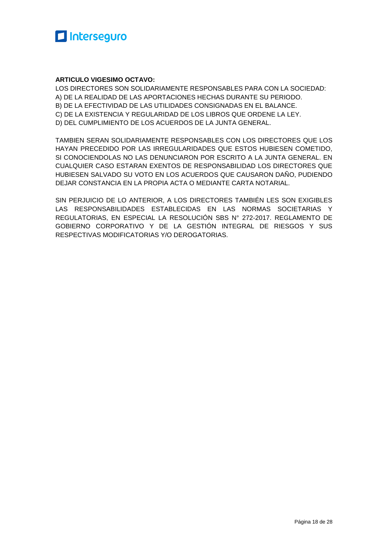

#### **ARTICULO VIGESIMO OCTAVO:**

LOS DIRECTORES SON SOLIDARIAMENTE RESPONSABLES PARA CON LA SOCIEDAD: A) DE LA REALIDAD DE LAS APORTACIONES HECHAS DURANTE SU PERIODO. B) DE LA EFECTIVIDAD DE LAS UTILIDADES CONSIGNADAS EN EL BALANCE. C) DE LA EXISTENCIA Y REGULARIDAD DE LOS LIBROS QUE ORDENE LA LEY. D) DEL CUMPLIMIENTO DE LOS ACUERDOS DE LA JUNTA GENERAL.

TAMBIEN SERAN SOLIDARIAMENTE RESPONSABLES CON LOS DIRECTORES QUE LOS HAYAN PRECEDIDO POR LAS IRREGULARIDADES QUE ESTOS HUBIESEN COMETIDO, SI CONOCIENDOLAS NO LAS DENUNCIARON POR ESCRITO A LA JUNTA GENERAL. EN CUALQUIER CASO ESTARAN EXENTOS DE RESPONSABILIDAD LOS DIRECTORES QUE HUBIESEN SALVADO SU VOTO EN LOS ACUERDOS QUE CAUSARON DAÑO, PUDIENDO DEJAR CONSTANCIA EN LA PROPIA ACTA O MEDIANTE CARTA NOTARIAL.

SIN PERJUICIO DE LO ANTERIOR, A LOS DIRECTORES TAMBIÉN LES SON EXIGIBLES LAS RESPONSABILIDADES ESTABLECIDAS EN LAS NORMAS SOCIETARIAS Y REGULATORIAS, EN ESPECIAL LA RESOLUCIÓN SBS N° 272-2017. REGLAMENTO DE GOBIERNO CORPORATIVO Y DE LA GESTIÓN INTEGRAL DE RIESGOS Y SUS RESPECTIVAS MODIFICATORIAS Y/O DEROGATORIAS.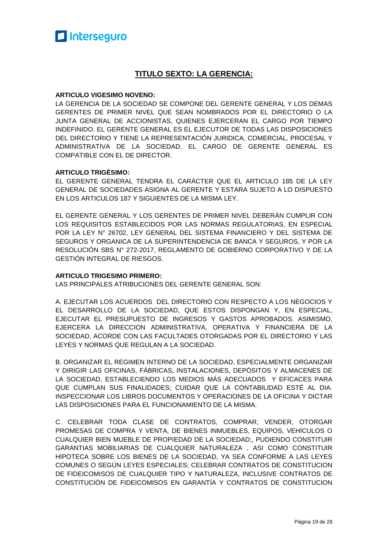#### **TITULO SEXTO: LA GERENCIA:**

#### **ARTICULO VIGESIMO NOVENO:**

LA GERENCIA DE LA SOCIEDAD SE COMPONE DEL GERENTE GENERAL Y LOS DEMAS GERENTES DE PRIMER NIVEL QUE SEAN NOMBRADOS POR EL DIRECTORIO O LA JUNTA GENERAL DE ACCIONISTAS, QUIENES EJERCERAN EL CARGO POR TIEMPO INDEFINIDO. EL GERENTE GENERAL ES EL EJECUTOR DE TODAS LAS DISPOSICIONES DEL DIRECTORIO Y TIENE LA REPRESENTACIÓN JURIDICA, COMERCIAL, PROCESAL Y ADMINISTRATIVA DE LA SOCIEDAD. EL CARGO DE GERENTE GENERAL ES COMPATIBLE CON EL DE DIRECTOR.

#### **ARTICULO TRIGÉSIMO:**

EL GERENTE GENERAL TENDRA EL CARÁCTER QUE EL ARTICULO 185 DE LA LEY GENERAL DE SOCIEDADES ASIGNA AL GERENTE Y ESTARA SUJETO A LO DISPUESTO EN LOS ARTICULOS 187 Y SIGUIENTES DE LA MISMA LEY.

EL GERENTE GENERAL Y LOS GERENTES DE PRIMER NIVEL DEBERÁN CUMPLIR CON LOS REQUISITOS ESTABLECIDOS POR LAS NORMAS REGULATORIAS, EN ESPECIAL POR LA LEY N° 26702, LEY GENERAL DEL SISTEMA FINANCIERO Y DEL SISTEMA DE SEGUROS Y ORGANICA DE LA SUPERINTENDENCIA DE BANCA Y SEGUROS, Y POR LA RESOLUCIÓN SBS N° 272-2017, REGLAMENTO DE GOBIERNO CORPORATIVO Y DE LA GESTIÓN INTEGRAL DE RIESGOS.

#### **ARTICULO TRIGESIMO PRIMERO:**

LAS PRINCIPALES ATRIBUCIONES DEL GERENTE GENERAL SON:

A. EJECUTAR LOS ACUERDOS DEL DIRECTORIO CON RESPECTO A LOS NEGOCIOS Y EL DESARROLLO DE LA SOCIEDAD, QUE ESTOS DISPONGAN Y, EN ESPECIAL, EJECUTAR EL PRESUPUESTO DE INGRESOS Y GASTOS APROBADOS. ASIMISMO, EJERCERA LA DIRECCION ADMINISTRATIVA, OPERATIVA Y FINANCIERA DE LA SOCIEDAD, ACORDE CON LAS FACULTADES OTORGADAS POR EL DIRECTORIO Y LAS LEYES Y NORMAS QUE REGULAN A LA SOCIEDAD.

B. ORGANIZAR EL REGIMEN INTERNO DE LA SOCIEDAD, ESPECIALMENTE ORGANIZAR Y DIRIGIR LAS OFICINAS, FÁBRICAS, INSTALACIONES, DEPÓSITOS Y ALMACENES DE LA SOCIEDAD, ESTABLECIENDO LOS MEDIOS MÁS ADECUADOS Y EFICACES PARA QUE CUMPLAN SUS FINALIDADES; CUIDAR QUE LA CONTABILIDAD ESTÉ AL DIA. INSPECCIONAR LOS LIBROS DOCUMENTOS Y OPERACIONES DE LA OFICINA Y DICTAR LAS DISPOSICIONES PARA EL FUNCIONAMIENTO DE LA MISMA.

C. CELEBRAR TODA CLASE DE CONTRATOS, COMPRAR, VENDER, OTORGAR PROMESAS DE COMPRA Y VENTA, DE BIENES INMUEBLES, EQUIPOS, VEHÍCULOS O CUALQUIER BIEN MUEBLE DE PROPIEDAD DE LA SOCIEDAD;, PUDIENDO CONSTITUIR GARANTIAS MOBILIARIAS DE CUALQUIER NATURALEZA , ASI COMO CONSTITUIR HIPOTECA SOBRE LOS BIENES DE LA SOCIEDAD, YA SEA CONFORME A LAS LEYES COMUNES O SEGÚN LEYES ESPECIALES; CELEBRAR CONTRATOS DE CONSTITUCION DE FIDEICOMISOS DE CUALQUIER TIPO Y NATURALEZA, INCLUSIVE CONTRATOS DE CONSTITUCIÓN DE FIDEICOMISOS EN GARANTÍA Y CONTRATOS DE CONSTITUCION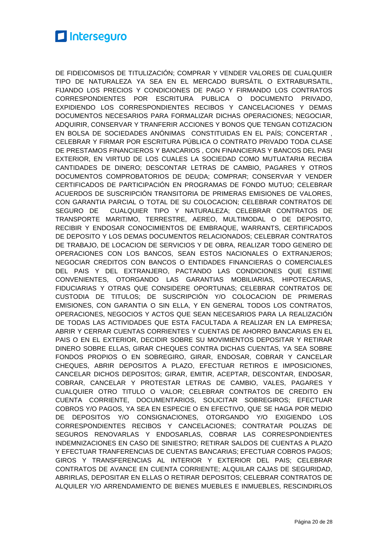DE FIDEICOMISOS DE TITULIZACIÓN; COMPRAR Y VENDER VALORES DE CUALQUIER TIPO DE NATURALEZA YA SEA EN EL MERCADO BURSÁTIL O EXTRABURSATIL, FIJANDO LOS PRECIOS Y CONDICIONES DE PAGO Y FIRMANDO LOS CONTRATOS CORRESPONDIENTES POR ESCRITURA PUBLICA O DOCUMENTO PRIVADO, EXPIDIENDO LOS CORRESPONDIENTES RECIBOS Y CANCELACIONES Y DEMAS DOCUMENTOS NECESARIOS PARA FORMALIZAR DICHAS OPERACIONES; NEGOCIAR, ADQUIRIR, CONSERVAR Y TRANFERIR ACCIONES Y BONOS QUE TENGAN COTIZACION EN BOLSA DE SOCIEDADES ANÓNIMAS CONSTITUIDAS EN EL PAÍS; CONCERTAR , CELEBRAR Y FIRMAR POR ESCRITURA PÚBLICA O CONTRATO PRIVADO TODA CLASE DE PRESTAMOS FINANCIEROS Y BANCARIOS , CON FINANCIERAS Y BANCOS DEL PASI EXTERIOR, EN VIRTUD DE LOS CUALES LA SOCIEDAD COMO MUTUATARIA RECIBA CANTIDADES DE DINERO; DESCONTAR LETRAS DE CAMBIO, PAGARES Y OTROS DOCUMENTOS COMPROBATORIOS DE DEUDA; COMPRAR; CONSERVAR Y VENDER CERTIFICADOS DE PARTICIPACIÓN EN PROGRAMAS DE FONDO MUTUO; CELEBRAR ACUERDOS DE SUSCRIPCIÓN TRANSITORIA DE PRIMERAS EMISIONES DE VALORES, CON GARANTIA PARCIAL O TOTAL DE SU COLOCACION; CELEBRAR CONTRATOS DE SEGURO DE CUALQUIER TIPO Y NATURALEZA; CELEBRAR CONTRATOS DE TRANSPORTE MARITIMO, TERRESTRE, AEREO, MULTIMODAL O DE DEPOSITO, RECIBIR Y ENDOSAR CONOCIMIENTOS DE EMBRAQUE, WARRANTS, CERTIFICADOS DE DEPOSITO Y LOS DEMAS DOCUMENTOS RELACIONADOS; CELEBRAR CONTRATOS DE TRABAJO, DE LOCACION DE SERVICIOS Y DE OBRA, REALIZAR TODO GENERO DE OPERACIONES CON LOS BANCOS, SEAN ESTOS NACIONALES O EXTRANJEROS; NEGOCIAR CREDITOS CON BANCOS O ENTIDADES FINANCIERAS O COMERCIALES DEL PAIS Y DEL EXTRANJERO, PACTANDO LAS CONDICIONES QUE ESTIME CONVENIENTES, OTORGANDO LAS GARANTIAS MOBILIARIAS, HIPOTECARIAS, FIDUCIARIAS Y OTRAS QUE CONSIDERE OPORTUNAS; CELEBRAR CONTRATOS DE CUSTODIA DE TITULOS; DE SUSCRIPCIÓN Y/O COLOCACION DE PRIMERAS EMISIONES, CON GARANTIA O SIN ELLA, Y EN GENERAL TODOS LOS CONTRATOS, OPERACIONES, NEGOCIOS Y ACTOS QUE SEAN NECESARIOS PARA LA REALIZACIÓN DE TODAS LAS ACTIVIDADES QUE ESTA FACULTADA A REALIZAR EN LA EMPRESA; ABRIR Y CERRAR CUENTAS CORRIENTES Y CUENTAS DE AHORRO BANCARIAS EN EL PAIS O EN EL EXTERIOR, DECIDIR SOBRE SU MOVIMIENTOS DEPOSITAR Y RETIRAR DINERO SOBRE ELLAS, GIRAR CHEQUES CONTRA DICHAS CUENTAS, YA SEA SOBRE FONDOS PROPIOS O EN SOBREGIRO, GIRAR, ENDOSAR, COBRAR Y CANCELAR CHEQUES, ABRIR DEPOSITOS A PLAZO, EFECTUAR RETIROS E IMPOSICIONES, CANCELAR DICHOS DEPOSITOS; GIRAR, EMITIR, ACEPTAR, DESCONTAR, ENDOSAR, COBRAR, CANCELAR Y PROTESTAR LETRAS DE CAMBIO, VALES, PAGARES Y CUALQUIER OTRO TITULO O VALOR; CELEBRAR CONTRATOS DE CREDITO EN CUENTA CORRIENTE, DOCUMENTARIOS, SOLICITAR SOBREGIROS; EFECTUAR COBROS Y/O PAGOS, YA SEA EN ESPECIE O EN EFECTIVO, QUE SE HAGA POR MEDIO DE DEPOSITOS Y/O CONSIGNACIONES, OTORGANDO Y/O EXIGIENDO LOS CORRESPONDIENTES RECIBOS Y CANCELACIONES; CONTRATAR POLIZAS DE SEGUROS RENOVARLAS Y ENDOSARLAS, COBRAR LAS CORRESPONDIENTES INDEMNIZACIONES EN CASO DE SINIESTRO; RETIRAR SALDOS DE CUENTAS A PLAZO Y EFECTUAR TRANFERENCIAS DE CUENTAS BANCARIAS; EFECTUAR COBROS PAGOS; GIROS Y TRANSFERENCIAS AL INTERIOR Y EXTERIOR DEL PAIS; CELEBRAR CONTRATOS DE AVANCE EN CUENTA CORRIENTE; ALQUILAR CAJAS DE SEGURIDAD, ABRIRLAS, DEPOSITAR EN ELLAS O RETIRAR DEPOSITOS; CELEBRAR CONTRATOS DE ALQUILER Y/O ARRENDAMIENTO DE BIENES MUEBLES E INMUEBLES, RESCINDIRLOS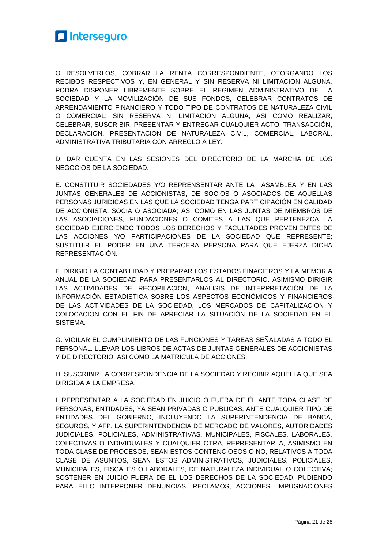

O RESOLVERLOS, COBRAR LA RENTA CORRESPONDIENTE, OTORGANDO LOS RECIBOS RESPECTIVOS Y, EN GENERAL Y SIN RESERVA NI LIMITACION ALGUNA, PODRA DISPONER LIBREMENTE SOBRE EL REGIMEN ADMINISTRATIVO DE LA SOCIEDAD Y LA MOVILIZACIÓN DE SUS FONDOS, CELEBRAR CONTRATOS DE ARRENDAMIENTO FINANCIERO Y TODO TIPO DE CONTRATOS DE NATURALEZA CIVIL O COMERCIAL; SIN RESERVA NI LIMITACION ALGUNA, ASI COMO REALIZAR, CELEBRAR, SUSCRIBIR, PRESENTAR Y ENTREGAR CUALQUIER ACTO, TRANSACCIÓN, DECLARACION, PRESENTACION DE NATURALEZA CIVIL, COMERCIAL, LABORAL, ADMINISTRATIVA TRIBUTARIA CON ARREGLO A LEY.

D. DAR CUENTA EN LAS SESIONES DEL DIRECTORIO DE LA MARCHA DE LOS NEGOCIOS DE LA SOCIEDAD.

E. CONSTITUIR SOCIEDADES Y/O REPRENSENTAR ANTE LA ASAMBLEA Y EN LAS JUNTAS GENERALES DE ACCIONISTAS, DE SOCIOS O ASOCIADOS DE AQUELLAS PERSONAS JURIDICAS EN LAS QUE LA SOCIEDAD TENGA PARTICIPACIÓN EN CALIDAD DE ACCIONISTA, SOCIA O ASOCIADA; ASI COMO EN LAS JUNTAS DE MIEMBROS DE LAS ASOCIACIONES, FUNDACIONES O COMITES A LAS QUE PERTENEZCA LA SOCIEDAD EJERCIENDO TODOS LOS DERECHOS Y FACULTADES PROVENIENTES DE LAS ACCIONES Y/O PARTICIPACIONES DE LA SOCIEDAD QUE REPRESENTE; SUSTITUIR EL PODER EN UNA TERCERA PERSONA PARA QUE EJERZA DICHA REPRESENTACIÓN.

F. DIRIGIR LA CONTABILIDAD Y PREPARAR LOS ESTADOS FINACIEROS Y LA MEMORIA ANUAL DE LA SOCIEDAD PARA PRESENTARLOS AL DIRECTORIO. ASIMISMO DIRIGIR LAS ACTIVIDADES DE RECOPILACIÓN, ANALISIS DE INTERPRETACIÓN DE LA INFORMACIÓN ESTADISTICA SOBRE LOS ASPECTOS ECONÓMICOS Y FINANCIEROS DE LAS ACTIVIDADES DE LA SOCIEDAD, LOS MERCADOS DE CAPITALIZACION Y COLOCACION CON EL FIN DE APRECIAR LA SITUACIÓN DE LA SOCIEDAD EN EL SISTEMA.

G. VIGILAR EL CUMPLIMIENTO DE LAS FUNCIONES Y TAREAS SEÑALADAS A TODO EL PERSONAL. LLEVAR LOS LIBROS DE ACTAS DE JUNTAS GENERALES DE ACCIONISTAS Y DE DIRECTORIO, ASI COMO LA MATRICULA DE ACCIONES.

H. SUSCRIBIR LA CORRESPONDENCIA DE LA SOCIEDAD Y RECIBIR AQUELLA QUE SEA DIRIGIDA A LA EMPRESA.

I. REPRESENTAR A LA SOCIEDAD EN JUICIO O FUERA DE ÉL ANTE TODA CLASE DE PERSONAS, ENTIDADES, YA SEAN PRIVADAS O PUBLICAS, ANTE CUALQUIER TIPO DE ENTIDADES DEL GOBIERNO, INCLUYENDO LA SUPERINTENDENCIA DE BANCA, SEGUROS, Y AFP, LA SUPERINTENDENCIA DE MERCADO DE VALORES, AUTORIDADES JUDICIALES, POLICIALES, ADMINISTRATIVAS, MUNICIPALES, FISCALES, LABORALES, COLECTIVAS O INDIVIDUALES Y CUALQUIER OTRA, REPRESENTARLA, ASIMISMO EN TODA CLASE DE PROCESOS, SEAN ESTOS CONTENCIOSOS O NO, RELATIVOS A TODA CLASE DE ASUNTOS, SEAN ESTOS ADMINISTRATIVOS, JUDICIALES, POLICIALES, MUNICIPALES, FISCALES O LABORALES, DE NATURALEZA INDIVIDUAL O COLECTIVA; SOSTENER EN JUICIO FUERA DE EL LOS DERECHOS DE LA SOCIEDAD, PUDIENDO PARA ELLO INTERPONER DENUNCIAS, RECLAMOS, ACCIONES, IMPUGNACIONES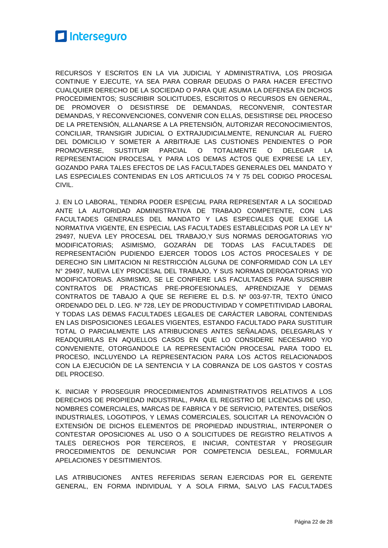

RECURSOS Y ESCRITOS EN LA VIA JUDICIAL Y ADMINISTRATIVA, LOS PROSIGA CONTINUE Y EJECUTE, YA SEA PARA COBRAR DEUDAS O PARA HACER EFECTIVO CUALQUIER DERECHO DE LA SOCIEDAD O PARA QUE ASUMA LA DEFENSA EN DICHOS PROCEDIMIENTOS; SUSCRIBIR SOLICITUDES, ESCRITOS O RECURSOS EN GENERAL, DE PROMOVER O DESISTIRSE DE DEMANDAS, RECONVENIR, CONTESTAR DEMANDAS, Y RECONVENCIONES, CONVENIR CON ELLAS, DESISTIRSE DEL PROCESO DE LA PRETENSIÓN, ALLANARSE A LA PRETENSIÓN, AUTORIZAR RECONOCIMIENTOS, CONCILIAR, TRANSIGIR JUDICIAL O EXTRAJUDICIALMENTE, RENUNCIAR AL FUERO DEL DOMICILIO Y SOMETER A ARBITRAJE LAS CUSTIONES PENDIENTES O POR PROMOVERSE, SUSTITUIR PARCIAL O TOTALMENTE O DELEGAR LA REPRESENTACION PROCESAL Y PARA LOS DEMAS ACTOS QUE EXPRESE LA LEY, GOZANDO PARA TALES EFECTOS DE LAS FACULTADES GENERALES DEL MANDATO Y LAS ESPECIALES CONTENIDAS EN LOS ARTICULOS 74 Y 75 DEL CODIGO PROCESAL CIVIL.

J. EN LO LABORAL, TENDRA PODER ESPECIAL PARA REPRESENTAR A LA SOCIEDAD ANTE LA AUTORIDAD ADMINISTRATIVA DE TRABAJO COMPETENTE, CON LAS FACULTADES GENERALES DEL MANDATO Y LAS ESPECIALES QUE EXIGE LA NORMATIVA VIGENTE, EN ESPECIAL LAS FACULTADES ESTABLECIDAS POR LA LEY N° 29497, NUEVA LEY PROCESAL DEL TRABAJO,Y SUS NORMAS DEROGATORIAS Y/O MODIFICATORIAS; ASIMISMO, GOZARÁN DE TODAS LAS FACULTADES DE REPRESENTACIÓN PUDIENDO EJERCER TODOS LOS ACTOS PROCESALES Y DE DERECHO SIN LIMITACION NI RESTRICCIÓN ALGUNA DE CONFORMIDAD CON LA LEY N° 29497, NUEVA LEY PROCESAL DEL TRABAJO, Y SUS NORMAS DEROGATORIAS Y/O MODIFICATORIAS. ASIMISMO, SE LE CONFIERE LAS FACULTADES PARA SUSCRIBIR CONTRATOS DE PRACTICAS PRE-PROFESIONALES, APRENDIZAJE Y DEMAS CONTRATOS DE TABAJO A QUE SE REFIERE EL D.S. Nº 003-97-TR, TEXTO ÚNICO ORDENADO DEL D. LEG. Nº 728, LEY DE PRODUCTIVIDAD Y COMPETITIVIDAD LABORAL Y TODAS LAS DEMAS FACULTADES LEGALES DE CARÁCTER LABORAL CONTENIDAS EN LAS DISPOSICIONES LEGALES VIGENTES, ESTANDO FACULTADO PARA SUSTITUIR TOTAL O PARCIALMENTE LAS ATRIBUCIONES ANTES SEÑALADAS, DELEGARLAS Y READQUIRILAS EN AQUELLOS CASOS EN QUE LO CONSIDERE NECESARIO Y/O CONVENIENTE, OTORGANDOLE LA REPRESENTACIÓN PROCESAL PARA TODO EL PROCESO, INCLUYENDO LA REPRESENTACION PARA LOS ACTOS RELACIONADOS CON LA EJECUCIÓN DE LA SENTENCIA Y LA COBRANZA DE LOS GASTOS Y COSTAS DEL PROCESO.

K. INICIAR Y PROSEGUIR PROCEDIMIENTOS ADMINISTRATIVOS RELATIVOS A LOS DERECHOS DE PROPIEDAD INDUSTRIAL, PARA EL REGISTRO DE LICENCIAS DE USO, NOMBRES COMERCIALES, MARCAS DE FABRICA Y DE SERVICIO, PATENTES, DISEÑOS INDUSTRIALES, LOGOTIPOS, Y LEMAS COMERCIALES, SOLICITAR LA RENOVACIÓN O EXTENSIÓN DE DICHOS ELEMENTOS DE PROPIEDAD INDUSTRIAL, INTERPONER O CONTESTAR OPOSICIONES AL USO O A SOLICITUDES DE REGISTRO RELATIVOS A TALES DERECHOS POR TERCEROS, E INICIAR, CONTESTAR Y PROSEGUIR PROCEDIMIENTOS DE DENUNCIAR POR COMPETENCIA DESLEAL, FORMULAR APELACIONES Y DESITIMIENTOS.

LAS ATRIBUCIONES ANTES REFERIDAS SERAN EJERCIDAS POR EL GERENTE GENERAL, EN FORMA INDIVIDUAL Y A SOLA FIRMA, SALVO LAS FACULTADES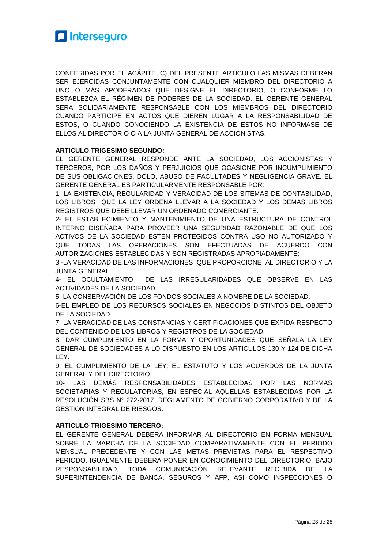

CONFERIDAS POR EL ACÁPITE. C) DEL PRESENTE ARTICULO LAS MISMAS DEBERAN SER EJERCIDAS CONJUNTAMENTE CON CUALQUIER MIEMBRO DEL DIRECTORIO A UNO O MÁS APODERADOS QUE DESIGNE EL DIRECTORIO, O CONFORME LO ESTABLEZCA EL RÉGIMEN DE PODERES DE LA SOCIEDAD. EL GERENTE GENERAL SERA SOLIDARIAMENTE RESPONSABLE CON LOS MIEMBROS DEL DIRECTORIO CUANDO PARTICIPE EN ACTOS QUE DIEREN LUGAR A LA RESPONSABILIDAD DE ESTOS, O CUANDO CONOCIENDO LA EXISTENCIA DE ESTOS NO INFORMASE DE ELLOS AL DIRECTORIO O A LA JUNTA GENERAL DE ACCIONISTAS.

#### **ARTICULO TRIGESIMO SEGUNDO:**

EL GERENTE GENERAL RESPONDE ANTE LA SOCIEDAD, LOS ACCIONISTAS Y TERCEROS, POR LOS DAÑOS Y PERJUICIOS QUE OCASIONE POR INCUMPLIMIENTO DE SUS OBLIGACIONES, DOLO, ABUSO DE FACULTADES Y NEGLIGENCIA GRAVE. EL GERENTE GENERAL ES PARTICULARMENTE RESPONSABLE POR:

1- LA EXISTENCIA, REGULARIDAD Y VERACIDAD DE LOS SITEMAS DE CONTABILIDAD, LOS LIBROS QUE LA LEY ORDENA LLEVAR A LA SOCIEDAD Y LOS DEMAS LIBROS REGISTROS QUE DEBE LLEVAR UN ORDENADO COMERCIANTE.

2- EL ESTABLECIMIENTO Y MANTENIMIENTO DE UNA ESTRUCTURA DE CONTROL INTERNO DISEÑADA PARA PROVEER UNA SEGURIDAD RAZONABLE DE QUE LOS ACTIVOS DE LA SOCIEDAD ESTEN PROTEGIDOS CONTRA USO NO AUTORIZADO Y QUE TODAS LAS OPERACIONES SON EFECTUADAS DE ACUERDO CON AUTORIZACIONES ESTABLECIDAS Y SON REGISTRADAS APROPIADAMENTE;

3 -LA VERACIDAD DE LAS INFORMACIONES QUE PROPORCIONE AL DIRECTORIO Y LA JUNTA GENERAL

4- EL OCULTAMIENTO DE LAS IRREGULARIDADES QUE OBSERVE EN LAS ACTIVIDADES DE LA SOCIEDAD

5- LA CONSERVACIÓN DE LOS FONDOS SOCIALES A NOMBRE DE LA SOCIEDAD.

6-EL EMPLEO DE LOS RECURSOS SOCIALES EN NEGOCIOS DISTINTOS DEL OBJETO DE LA SOCIEDAD.

7- LA VERACIDAD DE LAS CONSTANCIAS Y CERTIFICACIONES QUE EXPIDA RESPECTO DEL CONTENIDO DE LOS LIBROS Y REGISTROS DE LA SOCIEDAD.

8- DAR CUMPLIMIENTO EN LA FORMA Y OPORTUNIDADES QUE SEÑALA LA LEY GENERAL DE SOCIEDADES A LO DISPUESTO EN LOS ARTICULOS 130 Y 124 DE DICHA LEY.

9- EL CUMPLIMIENTO DE LA LEY; EL ESTATUTO Y LOS ACUERDOS DE LA JUNTA GENERAL Y DEL DIRECTORIO.

10- LAS DEMÁS RESPONSABILIDADES ESTABLECIDAS POR LAS NORMAS SOCIETARIAS Y REGULATORIAS, EN ESPECIAL AQUELLAS ESTABLECIDAS POR LA RESOLUCIÓN SBS N° 272-2017, REGLAMENTO DE GOBIERNO CORPORATIVO Y DE LA GESTIÓN INTEGRAL DE RIESGOS.

#### **ARTICULO TRIGESIMO TERCERO:**

EL GERENTE GENERAL DEBERA INFORMAR AL DIRECTORIO EN FORMA MENSUAL SOBRE LA MARCHA DE LA SOCIEDAD COMPARATIVAMENTE CON EL PERIODO MENSUAL PRECEDENTE Y CON LAS METAS PREVISTAS PARA EL RESPECTIVO PERIODO. IGUALMENTE DEBERA PONER EN CONOCIMIENTO DEL DIRECTORIO, BAJO RESPONSABILIDAD, TODA COMUNICACIÓN RELEVANTE RECIBIDA DE LA SUPERINTENDENCIA DE BANCA, SEGUROS Y AFP, ASI COMO INSPECCIONES O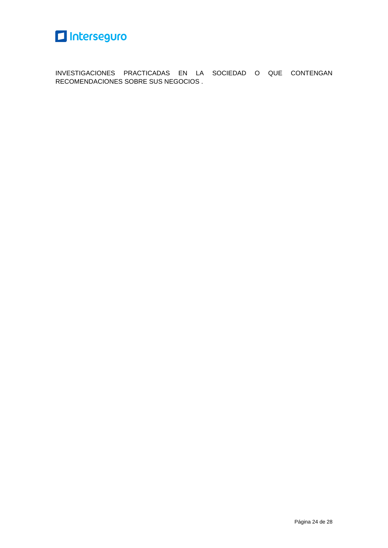

INVESTIGACIONES PRACTICADAS EN LA SOCIEDAD O QUE CONTENGAN RECOMENDACIONES SOBRE SUS NEGOCIOS .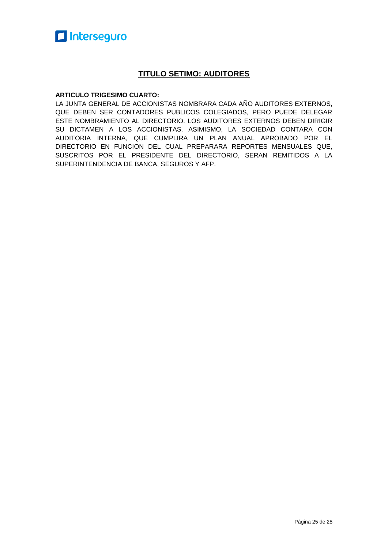#### **TITULO SETIMO: AUDITORES**

#### **ARTICULO TRIGESIMO CUARTO:**

LA JUNTA GENERAL DE ACCIONISTAS NOMBRARA CADA AÑO AUDITORES EXTERNOS, QUE DEBEN SER CONTADORES PUBLICOS COLEGIADOS, PERO PUEDE DELEGAR ESTE NOMBRAMIENTO AL DIRECTORIO. LOS AUDITORES EXTERNOS DEBEN DIRIGIR SU DICTAMEN A LOS ACCIONISTAS. ASIMISMO, LA SOCIEDAD CONTARA CON AUDITORIA INTERNA, QUE CUMPLIRA UN PLAN ANUAL APROBADO POR EL DIRECTORIO EN FUNCION DEL CUAL PREPARARA REPORTES MENSUALES QUE, SUSCRITOS POR EL PRESIDENTE DEL DIRECTORIO, SERAN REMITIDOS A LA SUPERINTENDENCIA DE BANCA, SEGUROS Y AFP.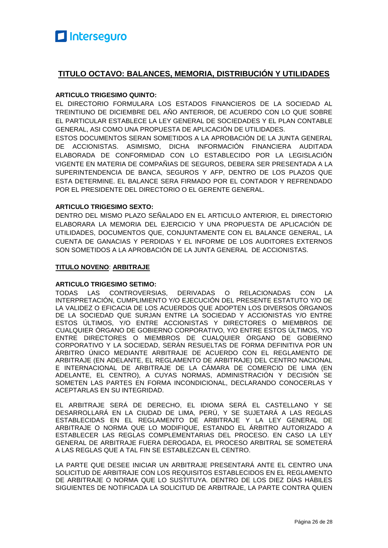#### **TITULO OCTAVO: BALANCES, MEMORIA, DISTRIBUCIÓN Y UTILIDADES**

#### **ARTICULO TRIGESIMO QUINTO:**

EL DIRECTORIO FORMULARA LOS ESTADOS FINANCIEROS DE LA SOCIEDAD AL TREINTIUNO DE DICIEMBRE DEL AÑO ANTERIOR, DE ACUERDO CON LO QUE SOBRE EL PARTICULAR ESTABLECE LA LEY GENERAL DE SOCIEDADES Y EL PLAN CONTABLE GENERAL, ASI COMO UNA PROPUESTA DE APLICACIÓN DE UTILIDADES.

ESTOS DOCUMENTOS SERAN SOMETIDOS A LA APROBACIÓN DE LA JUNTA GENERAL DE ACCIONISTAS. ASIMISMO, DICHA INFORMACIÓN FINANCIERA AUDITADA ELABORADA DE CONFORMIDAD CON LO ESTABLECIDO POR LA LEGISLACIÓN VIGENTE EN MATERIA DE COMPAÑIAS DE SEGUROS, DEBERA SER PRESENTADA A LA SUPERINTENDENCIA DE BANCA, SEGUROS Y AFP, DENTRO DE LOS PLAZOS QUE ESTA DETERMINE. EL BALANCE SERA FIRMADO POR EL CONTADOR Y REFRENDADO POR EL PRESIDENTE DEL DIRECTORIO O EL GERENTE GENERAL.

#### **ARTICULO TRIGESIMO SEXTO:**

DENTRO DEL MISMO PLAZO SEÑALADO EN EL ARTICULO ANTERIOR, EL DIRECTORIO ELABORARA LA MEMORIA DEL EJERCICIO Y UNA PROPUESTA DE APLICACIÓN DE UTILIDADES, DOCUMENTOS QUE, CONJUNTAMENTE CON EL BALANCE GENERAL, LA CUENTA DE GANACIAS Y PERDIDAS Y EL INFORME DE LOS AUDITORES EXTERNOS SON SOMETIDOS A LA APROBACIÓN DE LA JUNTA GENERAL DE ACCIONISTAS.

#### **TITULO NOVENO**: **ARBITRAJE**

#### **ARTICULO TRIGESIMO SETIMO:**

TODAS LAS CONTROVERSIAS, DERIVADAS O RELACIONADAS CON LA INTERPRETACIÓN, CUMPLIMIENTO Y/O EJECUCIÓN DEL PRESENTE ESTATUTO Y/O DE LA VALIDEZ O EFICACIA DE LOS ACUERDOS QUE ADOPTEN LOS DIVERSOS ÓRGANOS DE LA SOCIEDAD QUE SURJAN ENTRE LA SOCIEDAD Y ACCIONISTAS Y/O ENTRE ESTOS ÚLTIMOS, Y/O ENTRE ACCIONISTAS Y DIRECTORES O MIEMBROS DE CUALQUIER ÓRGANO DE GOBIERNO CORPORATIVO, Y/O ENTRE ESTOS ÚLTIMOS, Y/O ENTRE DIRECTORES O MIEMBROS DE CUALQUIER ÓRGANO DE GOBIERNO CORPORATIVO Y LA SOCIEDAD, SERÁN RESUELTAS DE FORMA DEFINITIVA POR UN ÁRBITRO ÚNICO MEDIANTE ARBITRAJE DE ACUERDO CON EL REGLAMENTO DE ARBITRAJE (EN ADELANTE, EL REGLAMENTO DE ARBITRAJE) DEL CENTRO NACIONAL E INTERNACIONAL DE ARBITRAJE DE LA CÁMARA DE COMERCIO DE LIMA (EN ADELANTE, EL CENTRO), A CUYAS NORMAS, ADMINISTRACIÓN Y DECISIÓN SE SOMETEN LAS PARTES EN FORMA INCONDICIONAL, DECLARANDO CONOCERLAS Y ACEPTARLAS EN SU INTEGRIDAD.

EL ARBITRAJE SERÁ DE DERECHO, EL IDIOMA SERÁ EL CASTELLANO Y SE DESARROLLARÁ EN LA CIUDAD DE LIMA, PERÚ, Y SE SUJETARÁ A LAS REGLAS ESTABLECIDAS EN EL REGLAMENTO DE ARBITRAJE Y LA LEY GENERAL DE ARBITRAJE O NORMA QUE LO MODIFIQUE, ESTANDO EL ÁRBITRO AUTORIZADO A ESTABLECER LAS REGLAS COMPLEMENTARIAS DEL PROCESO. EN CASO LA LEY GENERAL DE ARBITRAJE FUERA DEROGADA, EL PROCESO ARBITRAL SE SOMETERÁ A LAS REGLAS QUE A TAL FIN SE ESTABLEZCAN EL CENTRO.

LA PARTE QUE DESEE INICIAR UN ARBITRAJE PRESENTARÁ ANTE EL CENTRO UNA SOLICITUD DE ARBITRAJE CON LOS REQUISITOS ESTABLECIDOS EN EL REGLAMENTO DE ARBITRAJE O NORMA QUE LO SUSTITUYA. DENTRO DE LOS DIEZ DÍAS HÁBILES SIGUIENTES DE NOTIFICADA LA SOLICITUD DE ARBITRAJE, LA PARTE CONTRA QUIEN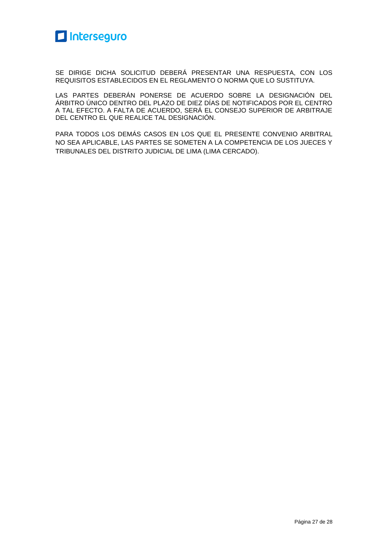

SE DIRIGE DICHA SOLICITUD DEBERÁ PRESENTAR UNA RESPUESTA, CON LOS REQUISITOS ESTABLECIDOS EN EL REGLAMENTO O NORMA QUE LO SUSTITUYA.

LAS PARTES DEBERÁN PONERSE DE ACUERDO SOBRE LA DESIGNACIÓN DEL ÁRBITRO ÚNICO DENTRO DEL PLAZO DE DIEZ DÍAS DE NOTIFICADOS POR EL CENTRO A TAL EFECTO. A FALTA DE ACUERDO, SERÁ EL CONSEJO SUPERIOR DE ARBITRAJE DEL CENTRO EL QUE REALICE TAL DESIGNACIÓN.

PARA TODOS LOS DEMÁS CASOS EN LOS QUE EL PRESENTE CONVENIO ARBITRAL NO SEA APLICABLE, LAS PARTES SE SOMETEN A LA COMPETENCIA DE LOS JUECES Y TRIBUNALES DEL DISTRITO JUDICIAL DE LIMA (LIMA CERCADO).